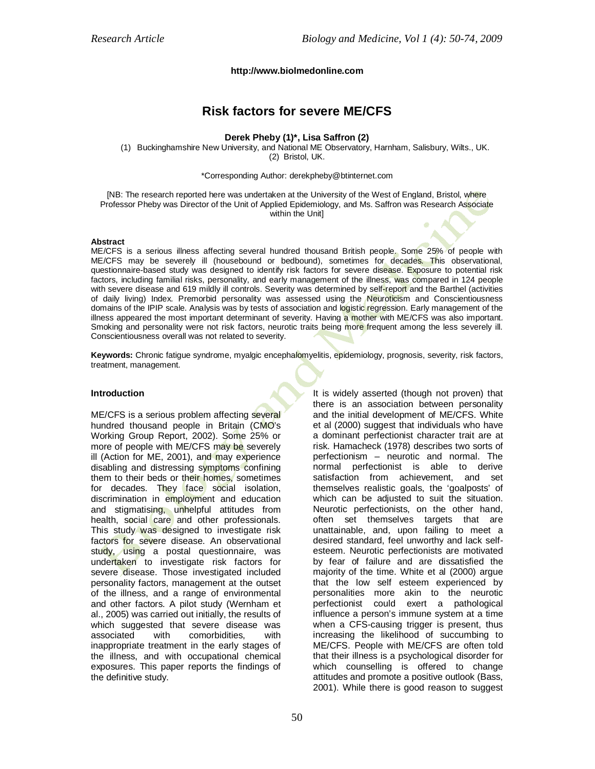#### **http://www.biolmedonline.com**

# **Risk factors for severe ME/CFS**

#### **Derek Pheby (1)\*, Lisa Saffron (2)**

(1) Buckinghamshire New University, and National ME Observatory, Harnham, Salisbury, Wilts., UK. (2) Bristol, UK.

\*Corresponding Author: derekpheby@btinternet.com

[NB: The research reported here was undertaken at the University of the West of England, Bristol, where Professor Pheby was Director of the Unit of Applied Epidemiology, and Ms. Saffron was Research Associate within the Unit]

#### **Abstract**

ME/CFS is a serious illness affecting several hundred thousand British people. Some 25% of people with ME/CFS may be severely ill (housebound or bedbound), sometimes for decades. This observational, questionnaire-based study was designed to identify risk factors for severe disease. Exposure to potential risk factors, including familial risks, personality, and early management of the illness, was compared in 124 people with severe disease and 619 mildly ill controls. Severity was determined by self-report and the Barthel (activities of daily living) Index. Premorbid personality was assessed using the Neuroticism and Conscientiousness domains of the IPIP scale. Analysis was by tests of association and logistic regression. Early management of the illness appeared the most important determinant of severity. Having a mother with ME/CFS was also important. Smoking and personality were not risk factors, neurotic traits being more frequent among the less severely ill. Conscientiousness overall was not related to severity.

**Keywords:** Chronic fatigue syndrome, myalgic encephalomyelitis, epidemiology, prognosis, severity, risk factors, treatment, management.

#### **Introduction**

ME/CFS is a serious problem affecting several hundred thousand people in Britain (CMO's Working Group Report, 2002). Some 25% or more of people with ME/CFS may be severely ill (Action for ME, 2001), and may experience disabling and distressing symptoms confining them to their beds or their homes, sometimes for decades. They face social isolation, discrimination in employment and education and stigmatising, unhelpful attitudes from health, social care and other professionals. This study was designed to investigate risk factors for severe disease. An observational study, using a postal questionnaire, was undertaken to investigate risk factors for severe disease. Those investigated included personality factors, management at the outset of the illness, and a range of environmental and other factors. A pilot study (Wernham et al., 2005) was carried out initially, the results of which suggested that severe disease was associated with comorbidities, with inappropriate treatment in the early stages of the illness, and with occupational chemical exposures. This paper reports the findings of the definitive study.

It is widely asserted (though not proven) that there is an association between personality and the initial development of ME/CFS. White et al (2000) suggest that individuals who have a dominant perfectionist character trait are at risk. Hamacheck (1978) describes two sorts of perfectionism – neurotic and normal. The normal perfectionist is able to derive satisfaction from achievement, and set themselves realistic goals, the 'goalposts' of which can be adjusted to suit the situation. Neurotic perfectionists, on the other hand, often set themselves targets that are unattainable, and, upon failing to meet a desired standard, feel unworthy and lack selfesteem. Neurotic perfectionists are motivated by fear of failure and are dissatisfied the majority of the time. White et al (2000) argue that the low self esteem experienced by personalities more akin to the neurotic perfectionist could exert a pathological influence a person's immune system at a time when a CFS-causing trigger is present, thus increasing the likelihood of succumbing to ME/CFS. People with ME/CFS are often told that their illness is a psychological disorder for which counselling is offered to change attitudes and promote a positive outlook (Bass, 2001). While there is good reason to suggest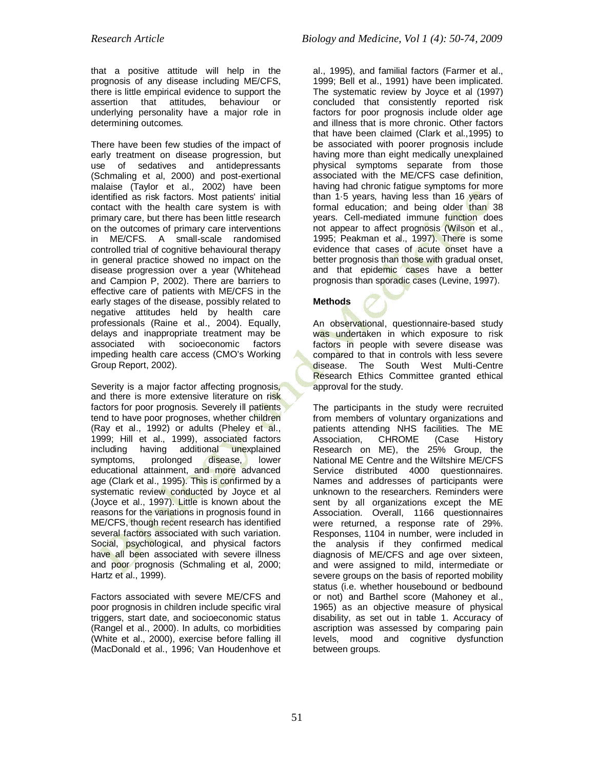that a positive attitude will help in the prognosis of any disease including ME/CFS, there is little empirical evidence to support the assertion that attitudes, behaviour or underlying personality have a major role in determining outcomes.

There have been few studies of the impact of early treatment on disease progression, but use of sedatives and antidepressants (Schmaling et al, 2000) and post-exertional malaise (Taylor et al., 2002) have been identified as risk factors. Most patients' initial contact with the health care system is with primary care, but there has been little research on the outcomes of primary care interventions in ME/CFS. A small-scale randomised controlled trial of cognitive behavioural therapy in general practice showed no impact on the disease progression over a year (Whitehead and Campion P, 2002). There are barriers to effective care of patients with ME/CFS in the early stages of the disease, possibly related to negative attitudes held by health care professionals (Raine et al., 2004). Equally, delays and inappropriate treatment may be associated with socioeconomic factors impeding health care access (CMO's Working Group Report, 2002).

Severity is a major factor affecting prognosis, and there is more extensive literature on risk factors for poor prognosis. Severely ill patients tend to have poor prognoses, whether children (Ray et al., 1992) or adults (Pheley et al., 1999; Hill et al., 1999), associated factors including having additional unexplained<br>symptoms, prolonged disease, lower disease, lower educational attainment, and more advanced age (Clark et al., 1995). This is confirmed by a systematic review conducted by Joyce et al (Joyce et al., 1997). Little is known about the reasons for the variations in prognosis found in ME/CFS, though recent research has identified several factors associated with such variation. Social, psychological, and physical factors have all been associated with severe illness and poor prognosis (Schmaling et al, 2000; Hartz et al., 1999).

Factors associated with severe ME/CFS and poor prognosis in children include specific viral triggers, start date, and socioeconomic status (Rangel et al., 2000). In adults, co morbidities (White et al., 2000), exercise before falling ill (MacDonald et al., 1996; Van Houdenhove et

al., 1995), and familial factors (Farmer et al., 1999; Bell et al., 1991) have been implicated. The systematic review by Joyce et al (1997) concluded that consistently reported risk factors for poor prognosis include older age and illness that is more chronic. Other factors that have been claimed (Clark et al.,1995) to be associated with poorer prognosis include having more than eight medically unexplained physical symptoms separate from those associated with the ME/CFS case definition, having had chronic fatigue symptoms for more than 1.5 years, having less than 16 years of formal education; and being older than 38 years. Cell-mediated immune function does not appear to affect prognosis (Wilson et al., 1995; Peakman et al., 1997). There is some evidence that cases of acute onset have a better prognosis than those with gradual onset, and that epidemic cases have a better prognosis than sporadic cases (Levine, 1997).

## **Methods**

An observational, questionnaire-based study was undertaken in which exposure to risk factors in people with severe disease was compared to that in controls with less severe disease. The South West Multi-Centre Research Ethics Committee granted ethical approval for the study.

The participants in the study were recruited from members of voluntary organizations and patients attending NHS facilities. The ME<br>Association. CHROME (Case History Association, CHROME (Case History Research on ME), the 25% Group, the National ME Centre and the Wiltshire ME/CFS Service distributed 4000 questionnaires. Names and addresses of participants were unknown to the researchers. Reminders were sent by all organizations except the ME Association. Overall, 1166 questionnaires were returned, a response rate of 29%. Responses, 1104 in number, were included in the analysis if they confirmed medical diagnosis of ME/CFS and age over sixteen, and were assigned to mild, intermediate or severe groups on the basis of reported mobility status (i.e. whether housebound or bedbound or not) and Barthel score (Mahoney et al., 1965) as an objective measure of physical disability, as set out in table 1. Accuracy of ascription was assessed by comparing pain levels, mood and cognitive dysfunction between groups.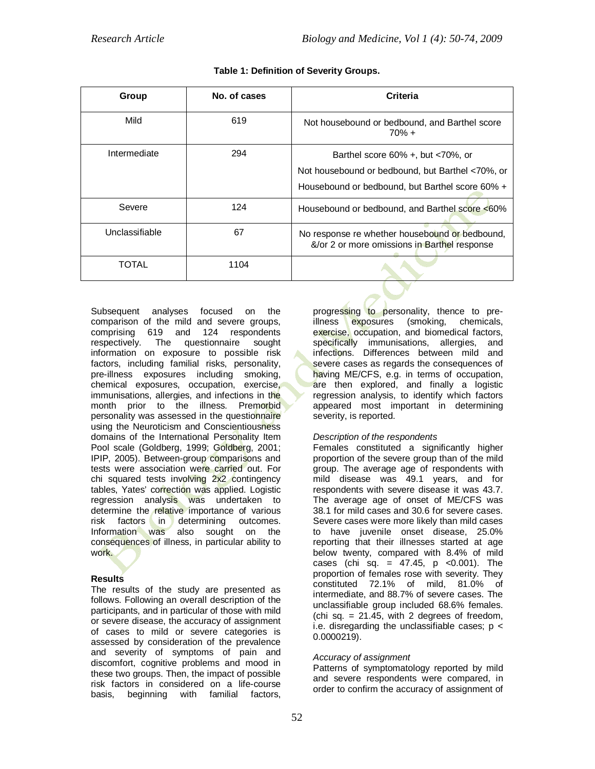| Group          | No. of cases | Criteria                                                                                       |
|----------------|--------------|------------------------------------------------------------------------------------------------|
| Mild           | 619          | Not housebound or bedbound, and Barthel score<br>$70\% +$                                      |
| Intermediate   | 294          | Barthel score $60\%$ +, but $\lt 70\%$ , or                                                    |
|                |              | Not housebound or bedbound, but Barthel <70%, or                                               |
|                |              | Housebound or bedbound, but Barthel score 60% +                                                |
| Severe         | 124          | Housebound or bedbound, and Barthel score <60%                                                 |
| Unclassifiable | 67           | No response re whether housebound or bedbound,<br>&/or 2 or more omissions in Barthel response |
| TOTAL          | 1104         |                                                                                                |

Subsequent analyses focused on the comparison of the mild and severe groups, comprising 619 and 124 respondents respectively. The questionnaire sought information on exposure to possible risk factors, including familial risks, personality, pre-illness exposures including smoking, chemical exposures, occupation, exercise, immunisations, allergies, and infections in the month prior to the illness. Premorbid personality was assessed in the questionnaire using the Neuroticism and Conscientiousness domains of the International Personality Item Pool scale (Goldberg, 1999; Goldberg, 2001; IPIP, 2005). Between-group comparisons and tests were association were carried out. For chi squared tests involving 2x2 contingency tables, Yates' correction was applied. Logistic regression analysis was undertaken to determine the relative importance of various risk factors in determining outcomes. Information was also sought on the consequences of illness, in particular ability to work.

### **Results**

The results of the study are presented as follows. Following an overall description of the participants, and in particular of those with mild or severe disease, the accuracy of assignment of cases to mild or severe categories is assessed by consideration of the prevalence and severity of symptoms of pain and discomfort, cognitive problems and mood in these two groups. Then, the impact of possible risk factors in considered on a life-course basis, beginning with familial factors,

progressing to personality, thence to preillness exposures (smoking, chemicals, exercise, occupation, and biomedical factors, specifically immunisations, allergies, and infections. Differences between mild and severe cases as regards the consequences of having ME/CFS, e.g. in terms of occupation, are then explored, and finally a logistic regression analysis, to identify which factors appeared most important in determining severity, is reported.

### *Description of the respondents*

Females constituted a significantly higher proportion of the severe group than of the mild group. The average age of respondents with mild disease was 49.1 years, and for respondents with severe disease it was 43.7. The average age of onset of ME/CFS was 38.1 for mild cases and 30.6 for severe cases. Severe cases were more likely than mild cases to have juvenile onset disease, 25.0% reporting that their illnesses started at age below twenty, compared with 8.4% of mild cases (chi sq. =  $47.45$ , p < 0.001). The proportion of females rose with severity. They constituted 72.1% of mild, 81.0% of intermediate, and 88.7% of severe cases. The unclassifiable group included 68.6% females.  $\chi$  (chi sq. = 21.45, with 2 degrees of freedom, i.e. disregarding the unclassifiable cases;  $p <$ 0.0000219).

## *Accuracy of assignment*

Patterns of symptomatology reported by mild and severe respondents were compared, in order to confirm the accuracy of assignment of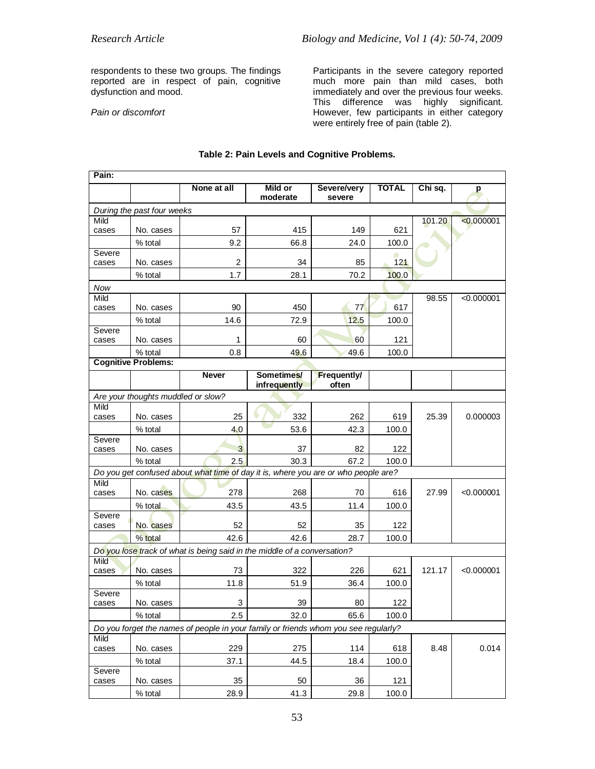respondents to these two groups. The findings reported are in respect of pain, cognitive dysfunction and mood.

*Pain or discomfort*

Participants in the severe category reported much more pain than mild cases, both immediately and over the previous four weeks. This difference was highly significant. However, few participants in either category were entirely free of pain (table 2).

| Pain:           |                                    |                                                                                     |              |                    |              |         |            |
|-----------------|------------------------------------|-------------------------------------------------------------------------------------|--------------|--------------------|--------------|---------|------------|
|                 |                                    | None at all                                                                         | Mild or      | Severe/very        | <b>TOTAL</b> | Chi sq. | p          |
|                 |                                    |                                                                                     | moderate     | severe             |              |         |            |
| Mild            | During the past four weeks         |                                                                                     |              |                    |              | 101.20  | < 0.000001 |
| cases           | No. cases                          | 57                                                                                  | 415          | 149                | 621          |         |            |
|                 | % total                            | 9.2                                                                                 | 66.8         | 24.0               | 100.0        |         |            |
| Severe          |                                    |                                                                                     |              |                    |              |         |            |
| cases           | No. cases                          | 2                                                                                   | 34           | 85                 | $121$        |         |            |
|                 | % total                            | 1.7                                                                                 | 28.1         | 70.2               | 100.0        |         |            |
| Now             |                                    |                                                                                     |              |                    |              |         |            |
| Mild            | No. cases                          | 90                                                                                  | 450          | 77                 | 617          | 98.55   | < 0.000001 |
| cases           |                                    |                                                                                     |              |                    |              |         |            |
| Severe          | % total                            | 14.6                                                                                | 72.9         | 12.5               | 100.0        |         |            |
| cases           | No. cases                          | 1                                                                                   | 60           | 60                 | 121          |         |            |
|                 | % total                            | 0.8                                                                                 | 49.6         | 49.6               | 100.0        |         |            |
|                 | <b>Cognitive Problems:</b>         |                                                                                     |              |                    |              |         |            |
|                 |                                    | <b>Never</b>                                                                        | Sometimes/   | <b>Frequently/</b> |              |         |            |
|                 |                                    |                                                                                     | infrequently | often              |              |         |            |
|                 | Are your thoughts muddled or slow? |                                                                                     |              |                    |              |         |            |
| Mild<br>cases   | No. cases                          | 25                                                                                  | 332          | 262                | 619          | 25.39   | 0.000003   |
|                 | % total                            | 4.0                                                                                 | 53.6         | 42.3               | 100.0        |         |            |
| Severe          |                                    |                                                                                     |              |                    |              |         |            |
| cases           | No. cases                          | 3                                                                                   | 37           | 82                 | 122          |         |            |
|                 | % total                            | 2.5                                                                                 | 30.3         | 67.2               | 100.0        |         |            |
|                 |                                    | Do you get confused about what time of day it is, where you are or who people are?  |              |                    |              |         |            |
| Mild            | No. cases                          | 278                                                                                 |              |                    | 616          |         |            |
| cases           |                                    |                                                                                     | 268          | 70                 |              | 27.99   | < 0.000001 |
| Severe          | % total                            | 43.5                                                                                | 43.5         | 11.4               | 100.0        |         |            |
| cases           | No. cases                          | 52                                                                                  | 52           | 35                 | 122          |         |            |
|                 | % total                            | 42.6                                                                                | 42.6         | 28.7               | 100.0        |         |            |
|                 |                                    | Do you lose track of what is being said in the middle of a conversation?            |              |                    |              |         |            |
| <b>Mild</b>     |                                    |                                                                                     |              |                    |              |         |            |
| cases           | No. cases                          | 73                                                                                  | 322          | 226                | 621          | 121.17  | < 0.000001 |
|                 | % total                            | 11.8                                                                                | 51.9         | 36.4               | 100.0        |         |            |
| Severe<br>cases | No. cases                          | 3                                                                                   | 39           | 80                 | 122          |         |            |
|                 | % total                            | 2.5                                                                                 | 32.0         | 65.6               | 100.0        |         |            |
|                 |                                    |                                                                                     |              |                    |              |         |            |
| Mild            |                                    | Do you forget the names of people in your family or friends whom you see regularly? |              |                    |              |         |            |
| cases           | No. cases                          | 229                                                                                 | 275          | 114                | 618          | 8.48    | 0.014      |
|                 | % total                            | 37.1                                                                                | 44.5         | 18.4               | 100.0        |         |            |
| Severe          |                                    |                                                                                     |              |                    |              |         |            |
| cases           | No. cases                          | 35                                                                                  | 50           | 36                 | 121          |         |            |
|                 | % total                            | 28.9                                                                                | 41.3         | 29.8               | 100.0        |         |            |

## **Table 2: Pain Levels and Cognitive Problems.**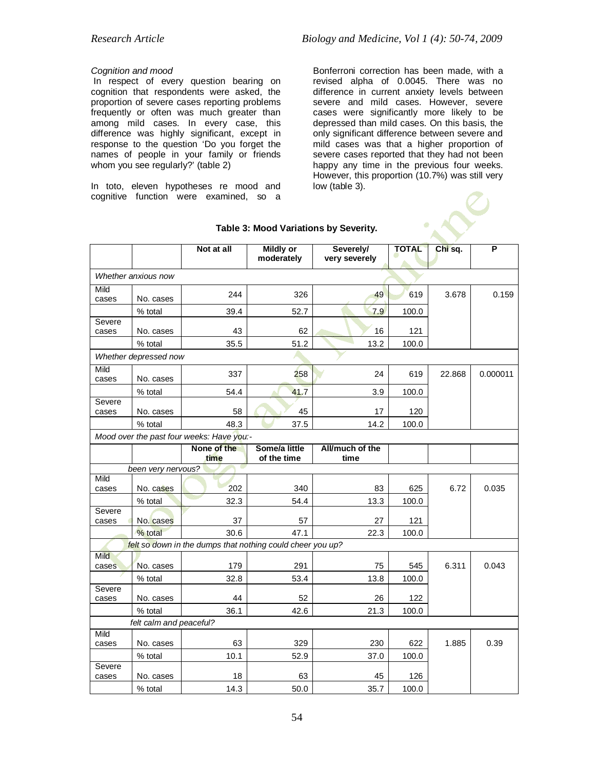### *Cognition and mood*

In respect of every question bearing on cognition that respondents were asked, the proportion of severe cases reporting problems frequently or often was much greater than among mild cases. In every case, this difference was highly significant, except in response to the question 'Do you forget the names of people in your family or friends whom you see regularly?' (table 2)

In toto, eleven hypotheses re mood and cognitive function were examined, so a Bonferroni correction has been made, with a revised alpha of 0.0045. There was no difference in current anxiety levels between severe and mild cases. However, severe cases were significantly more likely to be depressed than mild cases. On this basis, the only significant difference between severe and mild cases was that a higher proportion of severe cases reported that they had not been happy any time in the previous four weeks. However, this proportion (10.7%) was still very low (table 3).

|                                           |                         | Not at all          | <b>Mildly or</b><br>moderately                             | Severely/<br>very severely | <b>TOTAL</b> | Chi sq. | P        |  |  |
|-------------------------------------------|-------------------------|---------------------|------------------------------------------------------------|----------------------------|--------------|---------|----------|--|--|
|                                           | Whether anxious now     |                     |                                                            |                            |              |         |          |  |  |
| Mild<br>cases                             | No. cases               | 244                 | 326                                                        | 49                         | 619          | 3.678   | 0.159    |  |  |
|                                           | % total                 | 39.4                | 52.7                                                       | 7.9                        | 100.0        |         |          |  |  |
| Severe<br>cases                           | No. cases               | 43                  | 62                                                         | 16                         | 121          |         |          |  |  |
|                                           | % total                 | 35.5                | 51.2                                                       | 13.2                       | 100.0        |         |          |  |  |
|                                           | Whether depressed now   |                     |                                                            |                            |              |         |          |  |  |
| Mild<br>cases                             | No. cases               | 337                 | 258                                                        | 24                         | 619          | 22.868  | 0.000011 |  |  |
|                                           | % total                 | 54.4                | 41.7                                                       | 3.9                        | 100.0        |         |          |  |  |
| Severe<br>cases                           | No. cases               | 58                  | 45                                                         | 17                         | 120          |         |          |  |  |
|                                           | % total                 | 48.3                | 37.5                                                       | 14.2                       | 100.0        |         |          |  |  |
| Mood over the past four weeks: Have you:- |                         |                     |                                                            |                            |              |         |          |  |  |
|                                           |                         | None of the<br>time | Some/a little<br>of the time                               | All/much of the<br>time    |              |         |          |  |  |
|                                           | been very nervous?      |                     |                                                            |                            |              |         |          |  |  |
| Mild<br>cases                             | No. cases               | 202                 | 340                                                        | 83                         | 625          | 6.72    | 0.035    |  |  |
|                                           | % total                 | 32.3                | 54.4                                                       | 13.3                       | 100.0        |         |          |  |  |
| Severe                                    |                         |                     |                                                            |                            |              |         |          |  |  |
| cases                                     | No. cases               | 37                  | 57                                                         | 27                         | 121          |         |          |  |  |
|                                           | % total                 | 30.6                | 47.1                                                       | 22.3                       | 100.0        |         |          |  |  |
| Mild                                      |                         |                     | felt so down in the dumps that nothing could cheer you up? |                            |              |         |          |  |  |
| cases                                     | No. cases               | 179                 | 291                                                        | 75                         | 545          | 6.311   | 0.043    |  |  |
|                                           | % total                 | 32.8                | 53.4                                                       | 13.8                       | 100.0        |         |          |  |  |
| Severe<br>cases                           | No. cases               | 44                  | 52                                                         | 26                         | 122          |         |          |  |  |
|                                           | % total                 | 36.1                | 42.6                                                       | 21.3                       | 100.0        |         |          |  |  |
|                                           | felt calm and peaceful? |                     |                                                            |                            |              |         |          |  |  |
| Mild                                      |                         |                     |                                                            |                            |              |         |          |  |  |
| cases                                     | No. cases               | 63<br>10.1          | 329                                                        | 230                        | 622          | 1.885   | 0.39     |  |  |
| Severe                                    | % total                 |                     | 52.9                                                       | 37.0                       | 100.0        |         |          |  |  |
| cases                                     | No. cases               | 18                  | 63                                                         | 45                         | 126          |         |          |  |  |
|                                           | % total                 | 14.3                | 50.0                                                       | 35.7                       | 100.0        |         |          |  |  |

#### **Table 3: Mood Variations by Severity.**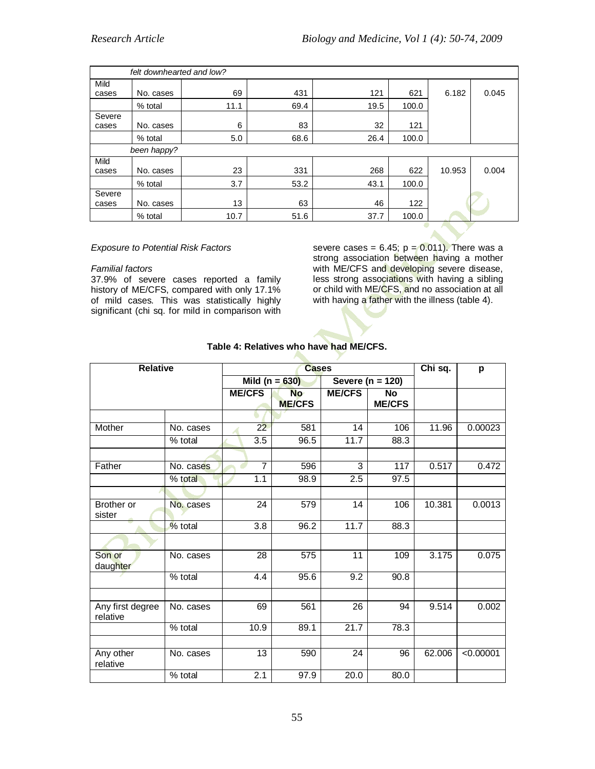| felt downhearted and low? |             |      |      |      |       |        |       |
|---------------------------|-------------|------|------|------|-------|--------|-------|
| Mild                      |             |      |      |      |       |        |       |
| cases                     | No. cases   | 69   | 431  | 121  | 621   | 6.182  | 0.045 |
|                           | % total     | 11.1 | 69.4 | 19.5 | 100.0 |        |       |
| Severe                    |             |      |      |      |       |        |       |
| cases                     | No. cases   | 6    | 83   | 32   | 121   |        |       |
|                           | % total     | 5.0  | 68.6 | 26.4 | 100.0 |        |       |
|                           | been happy? |      |      |      |       |        |       |
| Mild                      |             |      |      |      |       |        |       |
| cases                     | No. cases   | 23   | 331  | 268  | 622   | 10.953 | 0.004 |
|                           | % total     | 3.7  | 53.2 | 43.1 | 100.0 |        |       |
| Severe                    |             |      |      |      |       |        |       |
| cases                     | No. cases   | 13   | 63   | 46   | 122   |        |       |
|                           | % total     | 10.7 | 51.6 | 37.7 | 100.0 |        |       |
|                           |             |      |      |      |       | ᇒ      |       |

#### *Exposure to Potential Risk Factors*

#### *Familial factors*

37.9% of severe cases reported a family history of ME/CFS, compared with only 17.1% of mild cases. This was statistically highly significant (chi sq. for mild in comparison with severe cases =  $6.45$ ;  $p = 0.011$ ). There was a strong association between having a mother with ME/CFS and developing severe disease, less strong associations with having a sibling or child with ME/CFS, and no association at all with having a father with the illness (table 4).

| <b>Relative</b>              | <b>Cases</b> |               |                  |                    |               | Chi sq.          | p      |           |
|------------------------------|--------------|---------------|------------------|--------------------|---------------|------------------|--------|-----------|
|                              |              |               |                  | Mild ( $n = 630$ ) |               | Severe (n = 120) |        |           |
|                              |              | <b>ME/CFS</b> |                  | <b>No</b>          | <b>ME/CFS</b> | <b>No</b>        |        |           |
|                              |              |               |                  | <b>ME/CFS</b>      |               | <b>ME/CFS</b>    |        |           |
|                              |              |               |                  |                    |               |                  |        |           |
| Mother                       | No. cases    |               | 22               | 581                | 14            | 106              | 11.96  | 0.00023   |
|                              | % total      |               | 3.5              | 96.5               | 11.7          | 88.3             |        |           |
|                              |              |               |                  |                    |               |                  |        |           |
| Father                       | No. cases    |               | $\overline{7}$   | 596                | 3             | 117              | 0.517  | 0.472     |
|                              | % total      |               | 1.1              | 98.9               | 2.5           | 97.5             |        |           |
|                              |              |               |                  |                    |               |                  |        |           |
| <b>Brother or</b>            | No. cases    |               | $\overline{24}$  | 579                | 14            | 106              | 10.381 | 0.0013    |
| sister                       |              |               |                  |                    |               |                  |        |           |
|                              | % total      |               | $\overline{3.8}$ | 96.2               | 11.7          | 88.3             |        |           |
|                              |              |               |                  |                    |               |                  |        |           |
| Son or                       | No. cases    |               | 28               | $\overline{575}$   | 11            | 109              | 3.175  | 0.075     |
| daughter                     |              |               |                  |                    |               |                  |        |           |
|                              | % total      |               | 4.4              | 95.6               | 9.2           | 90.8             |        |           |
|                              |              |               |                  |                    |               |                  |        |           |
| Any first degree<br>relative | No. cases    |               | 69               | 561                | 26            | 94               | 9.514  | 0.002     |
|                              | % total      |               | 10.9             | 89.1               | 21.7          | 78.3             |        |           |
|                              |              |               |                  |                    |               |                  |        |           |
| Any other<br>relative        | No. cases    |               | 13               | 590                | 24            | 96               | 62.006 | < 0.00001 |
|                              | % total      |               | 2.1              | 97.9               | 20.0          | 80.0             |        |           |

## **Table 4: Relatives who have had ME/CFS.**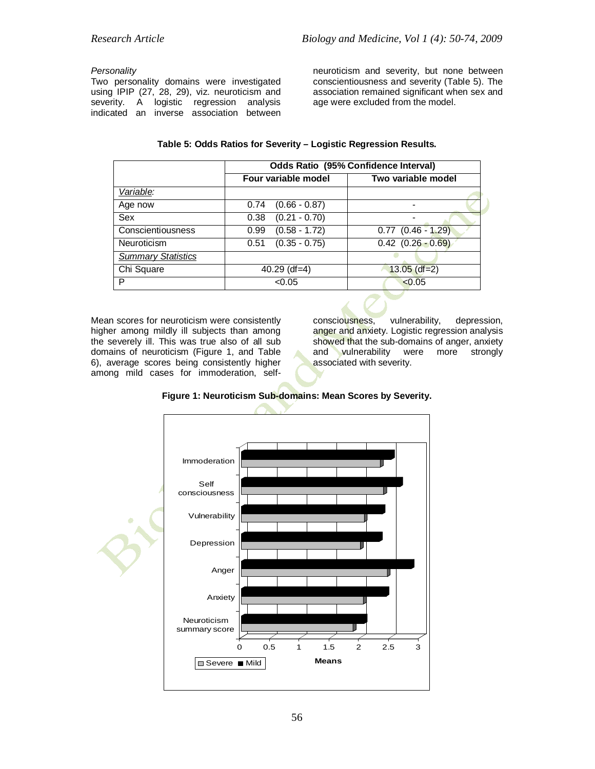#### *Personality*

Two personality domains were investigated using IPIP (27, 28, 29), viz. neuroticism and severity. A logistic regression analysis indicated an inverse association between neuroticism and severity, but none between conscientiousness and severity (Table 5). The association remained significant when sex and age were excluded from the model.

### **Table 5: Odds Ratios for Severity – Logistic Regression Results.**

|                           | <b>Odds Ratio (95% Confidence Interval)</b> |                        |  |  |  |
|---------------------------|---------------------------------------------|------------------------|--|--|--|
|                           | Four variable model                         | Two variable model     |  |  |  |
| Variable:                 |                                             |                        |  |  |  |
| Age now                   | $(0.66 - 0.87)$<br>0.74                     |                        |  |  |  |
| Sex                       | $(0.21 - 0.70)$<br>0.38                     |                        |  |  |  |
| Conscientiousness         | $(0.58 - 1.72)$<br>0.99                     | $0.77$ $(0.46 - 1.29)$ |  |  |  |
| Neuroticism               | $(0.35 - 0.75)$<br>0.51                     | $0.42$ $(0.26 - 0.69)$ |  |  |  |
| <b>Summary Statistics</b> |                                             |                        |  |  |  |
| Chi Square                | $40.29$ (df=4)                              | $13.05$ (df=2)         |  |  |  |
|                           | < 0.05                                      | < 0.05                 |  |  |  |

Mean scores for neuroticism were consistently higher among mildly ill subjects than among the severely ill. This was true also of all sub domains of neuroticism (Figure 1, and Table 6), average scores being consistently higher among mild cases for immoderation, self-

consciousness, vulnerability, depression, anger and anxiety. Logistic regression analysis showed that the sub-domains of anger, anxiety<br>and vulnerability were more strongly vulnerability associated with severity.

### **Figure 1: Neuroticism Sub-domains: Mean Scores by Severity.**

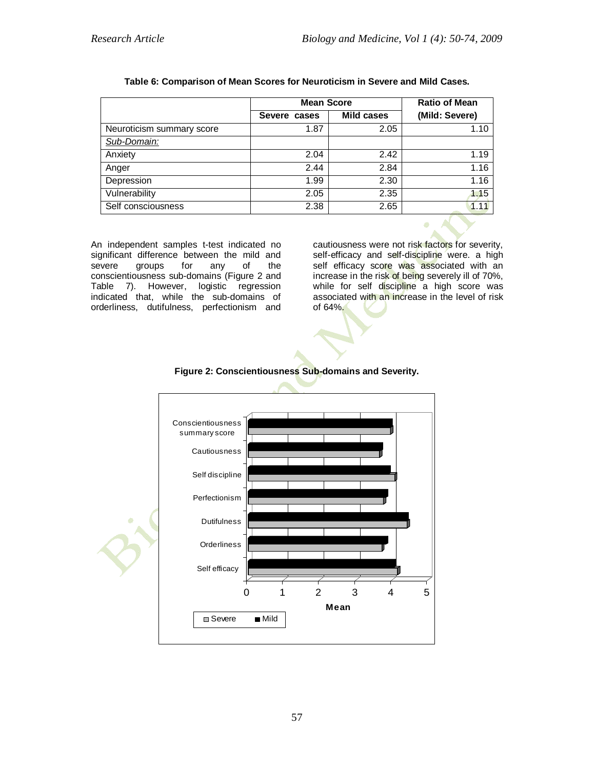|                           | <b>Mean Score</b> | <b>Ratio of Mean</b> |                |
|---------------------------|-------------------|----------------------|----------------|
|                           | Severe cases      | <b>Mild cases</b>    | (Mild: Severe) |
| Neuroticism summary score | 1.87              | 2.05                 | 1.10           |
| Sub-Domain:               |                   |                      |                |
| Anxiety                   | 2.04              | 2.42                 | 1.19           |
| Anger                     | 2.44              | 2.84                 | 1.16           |
| Depression                | 1.99              | 2.30                 | 1.16           |
| Vulnerability             | 2.05              | 2.35                 | 1.15           |
| Self consciousness        | 2.38              | 2.65                 | 1.11           |

#### **Table 6: Comparison of Mean Scores for Neuroticism in Severe and Mild Cases.**

An independent samples t-test indicated no significant difference between the mild and severe groups for any of the conscientiousness sub-domains (Figure 2 and Table 7). However, logistic regression indicated that, while the sub-domains of orderliness, dutifulness, perfectionism and cautiousness were not risk factors for severity, self-efficacy and self-discipline were. a high self efficacy score was associated with an increase in the risk of being severely ill of 70%, while for self discipline a high score was associated with an increase in the level of risk of 64%.



### **Figure 2: Conscientiousness Sub-domains and Severity.**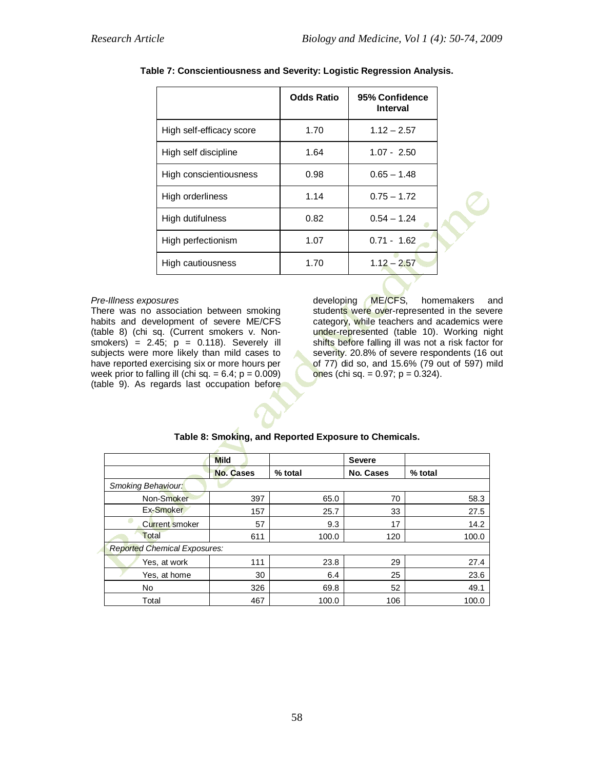|                          | <b>Odds Ratio</b> | 95% Confidence<br><b>Interval</b> |  |
|--------------------------|-------------------|-----------------------------------|--|
| High self-efficacy score | 1.70              | $1.12 - 2.57$                     |  |
| High self discipline     | 1.64              | $1.07 - 2.50$                     |  |
| High conscientiousness   | 0.98              | $0.65 - 1.48$                     |  |
| High orderliness         | 1.14              | $0.75 - 1.72$                     |  |
| High dutifulness         | 0.82              | $0.54 - 1.24$                     |  |
| High perfectionism       | 1.07              | $0.71 - 1.62$                     |  |
| High cautiousness        | 1.70              | $1.12 - 2.57$                     |  |

**Table 7: Conscientiousness and Severity: Logistic Regression Analysis.**

#### *Pre-Illness exposures*

There was no association between smoking habits and development of severe ME/CFS (table 8) (chi sq. (Current smokers v. Non $smokes$ ) = 2.45;  $p = 0.118$ ). Severely ill subjects were more likely than mild cases to have reported exercising six or more hours per week prior to falling ill (chi sq.  $= 6.4$ ; p  $= 0.009$ ) (table 9). As regards last occupation before developing ME/CFS, homemakers and students were over-represented in the severe category, while teachers and academics were under-represented (table 10). Working night shifts before falling ill was not a risk factor for severity. 20.8% of severe respondents (16 out of 77) did so, and 15.6% (79 out of 597) mild ones (chi sq. = 0.97; p = 0.324).

|                                     | <b>Mild</b>      |         | <b>Severe</b>    |         |
|-------------------------------------|------------------|---------|------------------|---------|
|                                     | <b>No. Cases</b> | % total | <b>No. Cases</b> | % total |
| <b>Smoking Behaviour:</b>           |                  |         |                  |         |
| Non-Smoker                          | 397              | 65.0    | 70               | 58.3    |
| Ex-Smoker                           | 157              | 25.7    | 33               | 27.5    |
| Current smoker                      | 57               | 9.3     | 17               | 14.2    |
| Total                               | 611              | 100.0   | 120              | 100.0   |
| <b>Reported Chemical Exposures:</b> |                  |         |                  |         |
| Yes, at work                        | 111              | 23.8    | 29               | 27.4    |
| Yes, at home                        | 30               | 6.4     | 25               | 23.6    |
| No                                  | 326              | 69.8    | 52               | 49.1    |
| Total                               | 467              | 100.0   | 106              | 100.0   |

### **Table 8: Smoking, and Reported Exposure to Chemicals.**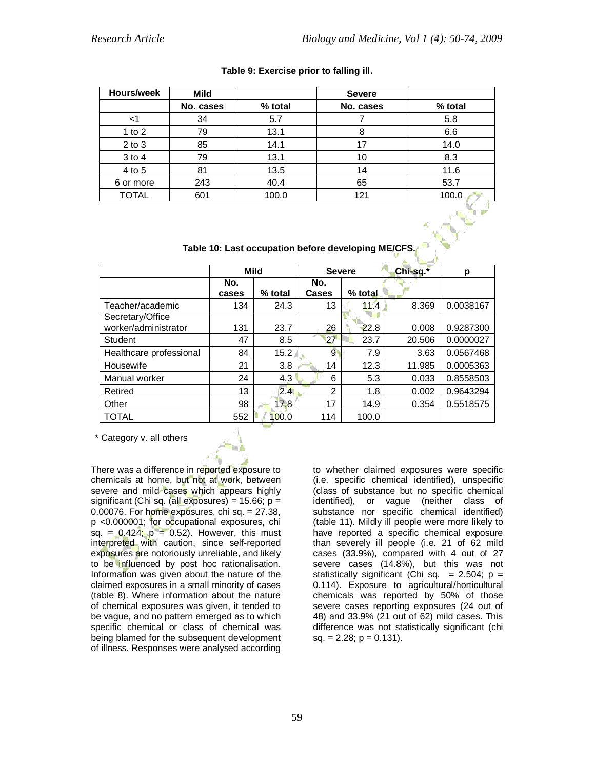| Hours/week   | Mild      |         | <b>Severe</b> |         |
|--------------|-----------|---------|---------------|---------|
|              | No. cases | % total | No. cases     | % total |
| <1           | 34        | 5.7     |               | 5.8     |
| 1 to $2$     | 79        | 13.1    | 8             | 6.6     |
| $2$ to $3$   | 85        | 14.1    | 17            | 14.0    |
| $3$ to $4$   | 79        | 13.1    | 10            | 8.3     |
| 4 to 5       | 81        | 13.5    | 14            | 11.6    |
| 6 or more    | 243       | 40.4    | 65            | 53.7    |
| <b>TOTAL</b> | 601       | 100.0   | 121           | 100.0   |
|              |           |         |               |         |

#### **Table 9: Exercise prior to falling ill.**

**Table 10: Last occupation before developing ME/CFS.**

|                         |       | <b>Mild</b> |       | <b>Severe</b> | Chi-sq.* | р         |
|-------------------------|-------|-------------|-------|---------------|----------|-----------|
|                         | No.   |             | No.   |               |          |           |
|                         | cases | % total     | Cases | % total       |          |           |
| Teacher/academic        | 134   | 24.3        | 13    | 11.4          | 8.369    | 0.0038167 |
| Secretary/Office        |       |             |       |               |          |           |
| worker/administrator    | 131   | 23.7        | 26    | 22.8          | 0.008    | 0.9287300 |
| Student                 | 47    | 8.5         | 27    | 23.7          | 20.506   | 0.0000027 |
| Healthcare professional | 84    | 15.2        | 9     | 7.9           | 3.63     | 0.0567468 |
| Housewife               | 21    | 3.8         | 14    | 12.3          | 11.985   | 0.0005363 |
| Manual worker           | 24    | 4.3         | 6     | 5.3           | 0.033    | 0.8558503 |
| Retired                 | 13    | 2.4         | 2     | 1.8           | 0.002    | 0.9643294 |
| Other                   | 98    | 17.8        | 17    | 14.9          | 0.354    | 0.5518575 |
| <b>TOTAL</b>            | 552   | 100.0       | 114   | 100.0         |          |           |

\* Category v. all others

There was a difference in reported exposure to chemicals at home, but not at work, between severe and mild cases which appears highly significant (Chi sq. (all exposures) =  $15.66$ ; p = 0.00076. For home exposures, chi sq. = 27.38, p <0.000001; for occupational exposures, chi sq. =  $0.424$ ;  $p = 0.52$ ). However, this must interpreted with caution, since self-reported exposures are notoriously unreliable, and likely to be influenced by post hoc rationalisation. Information was given about the nature of the claimed exposures in a small minority of cases (table 8). Where information about the nature of chemical exposures was given, it tended to be vague, and no pattern emerged as to which specific chemical or class of chemical was being blamed for the subsequent development of illness. Responses were analysed according to whether claimed exposures were specific (i.e. specific chemical identified), unspecific (class of substance but no specific chemical identified), or vague (neither class of substance nor specific chemical identified) (table 11). Mildly ill people were more likely to have reported a specific chemical exposure than severely ill people (i.e. 21 of 62 mild cases (33.9%), compared with 4 out of 27 severe cases (14.8%), but this was not statistically significant (Chi sq.  $= 2.504$ ; p = 0.114). Exposure to agricultural/horticultural chemicals was reported by 50% of those severe cases reporting exposures (24 out of 48) and 33.9% (21 out of 62) mild cases. This difference was not statistically significant (chi  $sq. = 2.28; p = 0.131$ .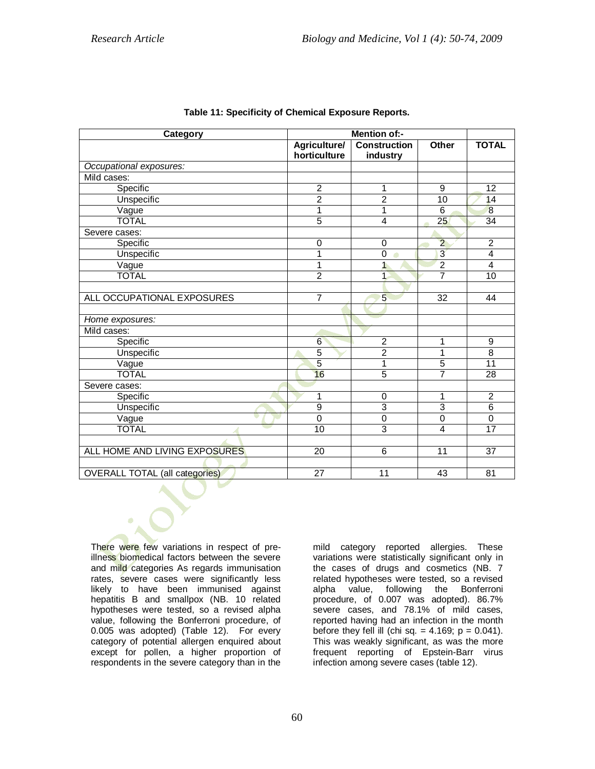| Category                              |                 |                     |                 |                 |
|---------------------------------------|-----------------|---------------------|-----------------|-----------------|
|                                       | Agriculture/    | <b>Construction</b> | Other           | <b>TOTAL</b>    |
|                                       | horticulture    | industry            |                 |                 |
| Occupational exposures:               |                 |                     |                 |                 |
| Mild cases:                           |                 |                     |                 |                 |
| Specific                              | $\overline{2}$  | 1                   | 9               | 12              |
| Unspecific                            | $\overline{2}$  | $\overline{2}$      | $\overline{10}$ | 14              |
| Vague                                 | 1               | 1                   | 6               | 8               |
| <b>TOTAL</b>                          | $\overline{5}$  | $\overline{4}$      | 25              | 34              |
| Severe cases:                         |                 |                     |                 |                 |
| Specific                              | $\mathbf 0$     | $\mathbf 0$         | $\overline{2}$  | $\overline{2}$  |
| <b>Unspecific</b>                     | 1               | $\overline{0}$<br>ø | $\overline{3}$  | $\overline{4}$  |
| Vague                                 | 1               | $\mathbf{1}$        | $\overline{2}$  | $\overline{4}$  |
| <b>TOTAL</b>                          | $\overline{2}$  | 1.                  | 7               | 10              |
|                                       |                 |                     |                 |                 |
| ALL OCCUPATIONAL EXPOSURES            | $\overline{7}$  | 5                   | $\overline{32}$ | 44              |
|                                       |                 |                     |                 |                 |
| Home exposures:                       |                 |                     |                 |                 |
| Mild cases:                           |                 |                     |                 |                 |
| Specific                              | 6               | $\overline{2}$      | 1               | 9               |
| <b>Unspecific</b>                     | $\overline{5}$  | $\overline{2}$      | 1               | $\overline{8}$  |
| Vague                                 | $\overline{5}$  | 1                   | $\overline{5}$  | 11              |
| <b>TOTAL</b>                          | 16              | $\overline{5}$      | $\overline{7}$  | 28              |
| Severe cases:                         |                 |                     |                 |                 |
| Specific                              | 1               | $\mathbf 0$         | 1               | $\overline{2}$  |
| Unspecific                            | $\overline{9}$  | $\overline{3}$      | $\overline{3}$  | $\overline{6}$  |
| Vague                                 | $\overline{0}$  | $\overline{0}$      | $\overline{0}$  | $\mathbf 0$     |
| <b>TOTAL</b>                          | 10              | $\overline{3}$      | 4               | 17              |
|                                       |                 |                     |                 |                 |
| ALL HOME AND LIVING EXPOSURES         | 20              | 6                   | 11              | 37              |
|                                       |                 |                     |                 |                 |
| <b>OVERALL TOTAL (all categories)</b> | $\overline{27}$ | $\overline{11}$     | 43              | $\overline{81}$ |

There were few variations in respect of preillness biomedical factors between the severe and mild categories As regards immunisation rates, severe cases were significantly less likely to have been immunised against hepatitis B and smallpox (NB. 10 related hypotheses were tested, so a revised alpha value, following the Bonferroni procedure, of 0.005 was adopted) (Table 12). For every category of potential allergen enquired about except for pollen, a higher proportion of respondents in the severe category than in the

mild category reported allergies. These variations were statistically significant only in the cases of drugs and cosmetics (NB. 7 related hypotheses were tested, so a revised alpha value, following the Bonferroni procedure, of 0.007 was adopted). 86.7% severe cases, and 78.1% of mild cases, reported having had an infection in the month before they fell ill (chi sq.  $=$  4.169;  $p = 0.041$ ). This was weakly significant, as was the more frequent reporting of Epstein-Barr virus infection among severe cases (table 12).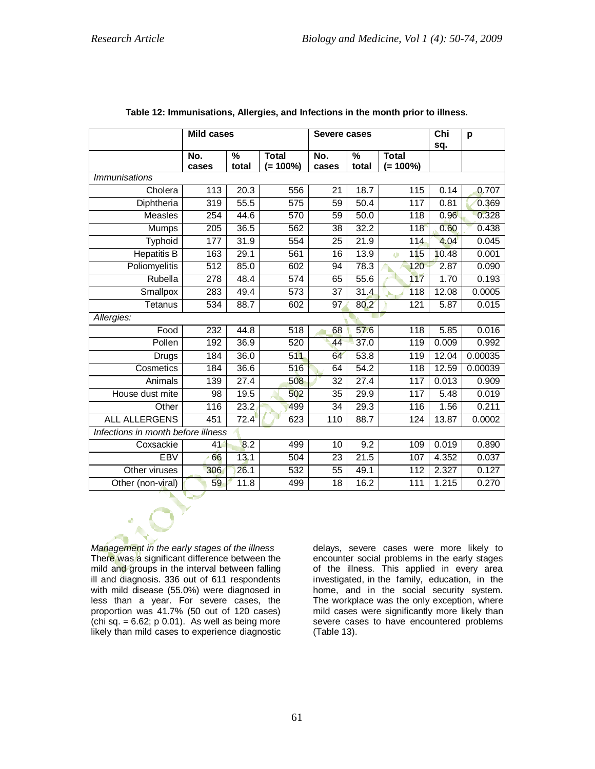|                                    | <b>Mild cases</b> |            |                             | Severe cases    |                        | $\overline{\text{Chi}}$<br>sq. | p     |         |  |
|------------------------------------|-------------------|------------|-----------------------------|-----------------|------------------------|--------------------------------|-------|---------|--|
|                                    | No.<br>cases      | %<br>total | <b>Total</b><br>$(= 100\%)$ | No.<br>cases    | $\frac{0}{0}$<br>total | <b>Total</b><br>$(= 100\%)$    |       |         |  |
| <b>Immunisations</b>               |                   |            |                             |                 |                        |                                |       |         |  |
| Cholera                            | 113               | 20.3       | 556                         | 21              | 18.7                   | 115                            | 0.14  | 0.707   |  |
| Diphtheria                         | $\overline{3}$ 19 | 55.5       | $\overline{575}$            | 59              | 50.4                   | 117                            | 0.81  | 0.369   |  |
| <b>Measles</b>                     | 254               | 44.6       | 570                         | $\overline{59}$ | 50.0                   | $\overline{118}$               | 0.96  | 0.328   |  |
| Mumps                              | 205               | 36.5       | 562                         | 38              | 32.2                   | 118                            | 0.60  | 0.438   |  |
| Typhoid                            | 177               | 31.9       | 554                         | 25              | $\overline{2}1.9$      | 114                            | 4.04  | 0.045   |  |
| <b>Hepatitis B</b>                 | 163               | 29.1       | 561                         | 16              | 13.9                   | 115<br>$\bullet$               | 10.48 | 0.001   |  |
| Poliomyelitis                      | 512               | 85.0       | 602                         | 94              | 78.3                   | 120                            | 2.87  | 0.090   |  |
| Rubella                            | 278               | 48.4       | 574                         | 65              | 55.6                   | 117                            | 1.70  | 0.193   |  |
| Smallpox                           | 283               | 49.4       | 573                         | 37              | 31.4                   | 118                            | 12.08 | 0.0005  |  |
| Tetanus                            | 534               | 88.7       | 602                         | 97              | 80.2                   | 121                            | 5.87  | 0.015   |  |
| Allergies:                         |                   |            |                             |                 |                        |                                |       |         |  |
| Food                               | 232               | 44.8       | 518                         | 68              | 57.6                   | 118                            | 5.85  | 0.016   |  |
| Pollen                             | 192               | 36.9       | 520                         | 44              | 37.0                   | 119                            | 0.009 | 0.992   |  |
| Drugs                              | 184               | 36.0       | 511                         | 64              | 53.8                   | 119                            | 12.04 | 0.00035 |  |
| Cosmetics                          | 184               | 36.6       | 516                         | 64              | 54.2                   | 118                            | 12.59 | 0.00039 |  |
| Animals                            | 139               | 27.4       | 508                         | $\overline{32}$ | 27.4                   | 117                            | 0.013 | 0.909   |  |
| House dust mite                    | 98                | 19.5       | 502                         | 35              | 29.9                   | 117                            | 5.48  | 0.019   |  |
| Other                              | 116               | 23.2       | 499                         | 34              | 29.3                   | 116                            | 1.56  | 0.211   |  |
| <b>ALL ALLERGENS</b>               | 451               | 72.4       | 623                         | 110             | 88.7                   | 124                            | 13.87 | 0.0002  |  |
| Infections in month before illness |                   |            |                             |                 |                        |                                |       |         |  |
| Coxsackie                          | 41                | 8.2        | 499                         | 10              | 9.2                    | 109                            | 0.019 | 0.890   |  |
| <b>EBV</b>                         | 66                | 13.1       | 504                         | 23              | 21.5                   | 107                            | 4.352 | 0.037   |  |
| Other viruses                      | 306               | 26.1       | 532                         | 55              | 49.1                   | 112                            | 2.327 | 0.127   |  |
| Other (non-viral)                  | 59                | 11.8       | 499                         | $\overline{18}$ | 16.2                   | 111                            | 1.215 | 0.270   |  |

*Management in the early stages of the illness* There was a significant difference between the mild and groups in the interval between falling ill and diagnosis. 336 out of 611 respondents with mild disease (55.0%) were diagnosed in less than a year. For severe cases, the proportion was 41.7% (50 out of 120 cases) (chi sq.  $= 6.62$ ; p 0.01). As well as being more likely than mild cases to experience diagnostic

delays, severe cases were more likely to encounter social problems in the early stages of the illness. This applied in every area investigated, in the family, education, in the home, and in the social security system. The workplace was the only exception, where mild cases were significantly more likely than severe cases to have encountered problems (Table 13).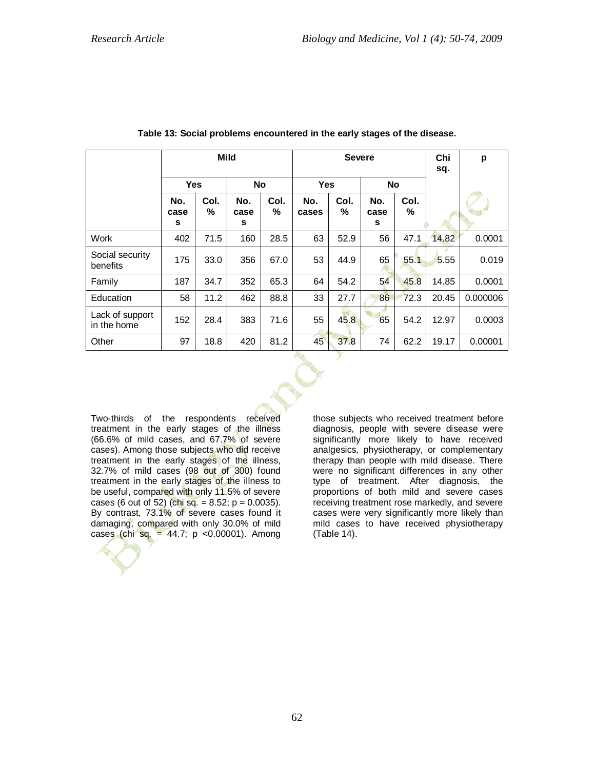|                                | <b>Mild</b>      |           |                  |           |              | <b>Severe</b> | Chi<br>sq.       | p         |       |          |
|--------------------------------|------------------|-----------|------------------|-----------|--------------|---------------|------------------|-----------|-------|----------|
|                                | <b>Yes</b>       |           | <b>No</b>        |           | <b>Yes</b>   |               | <b>No</b>        |           |       |          |
|                                | No.<br>case<br>s | Col.<br>℅ | No.<br>case<br>s | Col.<br>℅ | No.<br>cases | Col.<br>℅     | No.<br>case<br>s | Col.<br>% |       |          |
| Work                           | 402              | 71.5      | 160              | 28.5      | 63           | 52.9          | 56               | 47.1      | 14.82 | 0.0001   |
| Social security<br>benefits    | 175              | 33.0      | 356              | 67.0      | 53           | 44.9          | 65               | 55.1      | 5.55  | 0.019    |
| Family                         | 187              | 34.7      | 352              | 65.3      | 64           | 54.2          | 54               | 45.8      | 14.85 | 0.0001   |
| Education                      | 58               | 11.2      | 462              | 88.8      | 33           | 27.7          | 86               | 72.3      | 20.45 | 0.000006 |
| Lack of support<br>in the home | 152              | 28.4      | 383              | 71.6      | 55           | 45.8          | 65               | 54.2      | 12.97 | 0.0003   |
| Other                          | 97               | 18.8      | 420              | 81.2      | 45           | 37.8          | 74               | 62.2      | 19.17 | 0.00001  |

**Table 13: Social problems encountered in the early stages of the disease.**

Two-thirds of the respondents received treatment in the early stages of the illness (66.6% of mild cases, and 67.7% of severe cases). Among those subjects who did receive treatment in the early stages of the illness, 32.7% of mild cases (98 out of 300) found treatment in the early stages of the illness to be useful, compared with only 11.5% of severe cases (6 out of 52) (chi sq. =  $8.52$ ; p =  $0.0035$ ). By contrast, 73.1% of severe cases found it damaging, compared with only 30.0% of mild cases (chi sq. = 44.7;  $p \le 0.00001$ ). Among

those subjects who received treatment before diagnosis, people with severe disease were significantly more likely to have received analgesics, physiotherapy, or complementary therapy than people with mild disease. There were no significant differences in any other type of treatment. After diagnosis, the proportions of both mild and severe cases receiving treatment rose markedly, and severe cases were very significantly more likely than mild cases to have received physiotherapy (Table 14).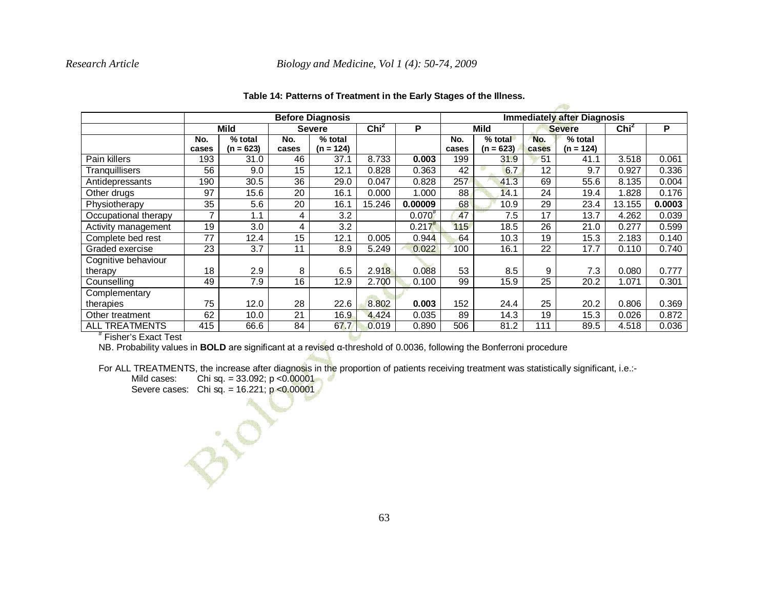## *Research Article Biology and Medicine, Vol 1 (4): 50-74, 2009*

|                       | <b>Before Diagnosis</b> |             |       |               |        |             |       | <b>Immediately after Diagnosis</b> |       |               |        |        |  |
|-----------------------|-------------------------|-------------|-------|---------------|--------|-------------|-------|------------------------------------|-------|---------------|--------|--------|--|
|                       |                         | <b>Mild</b> |       | <b>Severe</b> |        | P           |       | <b>Mild</b>                        |       | <b>Severe</b> |        | P      |  |
|                       | No.                     | % total     | No.   | % total       |        |             | No.   | % total                            | No.   | % total       |        |        |  |
|                       | cases                   | $(n = 623)$ | cases | $(n = 124)$   |        |             | cases | $(n = 623)$                        | cases | $(n = 124)$   |        |        |  |
| Pain killers          | 193                     | 31.0        | 46    | 37.1          | 8.733  | 0.003       | 199   | 31.9                               | 51    | 41.1          | 3.518  | 0.061  |  |
| Tranquillisers        | 56                      | 9.0         | 15    | 12.1          | 0.828  | 0.363       | 42    | 6.7                                | 12    | 9.7           | 0.927  | 0.336  |  |
| Antidepressants       | 190                     | 30.5        | 36    | 29.0          | 0.047  | 0.828       | 257   | 41.3                               | 69    | 55.6          | 8.135  | 0.004  |  |
| Other drugs           | 97                      | 15.6        | 20    | 16.1          | 0.000  | 1.000       | 88    | 14.1                               | 24    | 19.4          | 1.828  | 0.176  |  |
| Physiotherapy         | 35                      | 5.6         | 20    | 16.1          | 15.246 | 0.00009     | 68    | 10.9                               | 29    | 23.4          | 13.155 | 0.0003 |  |
| Occupational therapy  | 7                       | 1.1         | 4     | 3.2           |        | $0.070^{#}$ | 47    | 7.5                                | 17    | 13.7          | 4.262  | 0.039  |  |
| Activity management   | 19                      | 3.0         | 4     | 3.2           |        | 0.217       | 115   | 18.5                               | 26    | 21.0          | 0.277  | 0.599  |  |
| Complete bed rest     | 77                      | 12.4        | 15    | 12.1          | 0.005  | 0.944       | 64    | 10.3                               | 19    | 15.3          | 2.183  | 0.140  |  |
| Graded exercise       | 23                      | 3.7         | 11    | 8.9           | 5.249  | 0.022       | 100   | 16.1                               | 22    | 17.7          | 0.110  | 0.740  |  |
| Cognitive behaviour   |                         |             |       |               |        |             |       |                                    |       |               |        |        |  |
| therapy               | 18                      | 2.9         | 8     | 6.5           | 2.918  | 0.088       | 53    | 8.5                                | 9     | 7.3           | 0.080  | 0.777  |  |
| Counselling           | 49                      | 7.9         | 16    | 12.9          | 2.700  | 0.100       | 99    | 15.9                               | 25    | 20.2          | 1.071  | 0.301  |  |
| Complementary         |                         |             |       |               |        |             |       |                                    |       |               |        |        |  |
| therapies             | 75                      | 12.0        | 28    | 22.6          | 8.802  | 0.003       | 152   | 24.4                               | 25    | 20.2          | 0.806  | 0.369  |  |
| Other treatment       | 62                      | 10.0        | 21    | 16.9          | 4.424  | 0.035       | 89    | 14.3                               | 19    | 15.3          | 0.026  | 0.872  |  |
| <b>ALL TREATMENTS</b> | 415                     | 66.6        | 84    | 67.7          | 0.019  | 0.890       | 506   | 81.2                               | 111   | 89.5          | 4.518  | 0.036  |  |
| Fisher's Exact Test   |                         |             |       |               |        |             |       |                                    |       |               |        |        |  |

#### **Table 14: Patterns of Treatment in the Early Stages of the Illness.**

f 1999)

# Fisher's Exact Test

NB. Probability values in **BOLD** are significant at a revised α-threshold of 0.0036, following the Bonferroni procedure

For ALL TREATMENTS, the increase after diagnosis in the proportion of patients receiving treatment was statistically significant, i.e.:-

Mild cases: Chi sq. =  $33.092$ ; p < $0.00001$ 

Elio

Severe cases: Chi sq. =  $16.221$ ;  $p < 0.00001$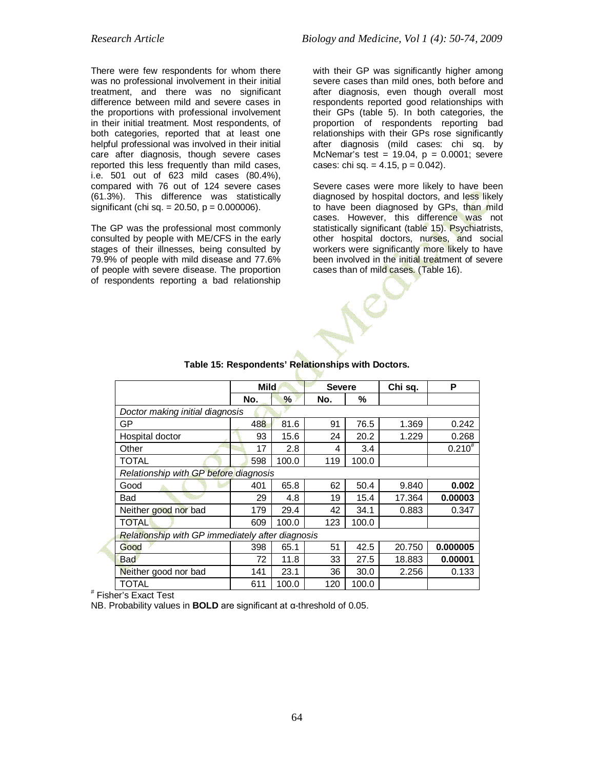There were few respondents for whom there was no professional involvement in their initial treatment, and there was no significant difference between mild and severe cases in the proportions with professional involvement in their initial treatment. Most respondents, of both categories, reported that at least one helpful professional was involved in their initial care after diagnosis, though severe cases reported this less frequently than mild cases, i.e. 501 out of 623 mild cases (80.4%), compared with 76 out of 124 severe cases (61.3%). This difference was statistically significant (chi sq. =  $20.50$ , p =  $0.000006$ ).

The GP was the professional most commonly consulted by people with ME/CFS in the early stages of their illnesses, being consulted by 79.9% of people with mild disease and 77.6% of people with severe disease. The proportion of respondents reporting a bad relationship

with their GP was significantly higher among severe cases than mild ones, both before and after diagnosis, even though overall most respondents reported good relationships with their GPs (table 5). In both categories, the proportion of respondents reporting bad relationships with their GPs rose significantly after diagnosis (mild cases: chi sq. by McNemar's test =  $19.04$ ,  $p = 0.0001$ ; severe cases: chi sq. =  $4.15$ , p =  $0.042$ ).

Severe cases were more likely to have been diagnosed by hospital doctors, and less likely to have been diagnosed by GPs, than mild cases. However, this difference was not statistically significant (table 15). Psychiatrists, other hospital doctors, nurses, and social workers were significantly more likely to have been involved in the initial treatment of severe cases than of mild cases. (Table 16).

|                                                  | Mild |       | <b>Severe</b> |       | Chi sq. | P           |  |  |  |  |
|--------------------------------------------------|------|-------|---------------|-------|---------|-------------|--|--|--|--|
|                                                  | No.  | %     | No.           | %     |         |             |  |  |  |  |
| Doctor making initial diagnosis                  |      |       |               |       |         |             |  |  |  |  |
| GP                                               | 488  | 81.6  | 91            | 76.5  | 1.369   | 0.242       |  |  |  |  |
| Hospital doctor                                  | 93   | 15.6  | 24            | 20.2  | 1.229   | 0.268       |  |  |  |  |
| Other                                            | 17   | 2.8   | 4             | 3.4   |         | $0.210^{#}$ |  |  |  |  |
| <b>TOTAL</b>                                     | 598  | 100.0 | 119           | 100.0 |         |             |  |  |  |  |
| Relationship with GP before diagnosis            |      |       |               |       |         |             |  |  |  |  |
| Good                                             | 401  | 65.8  | 62            | 50.4  | 9.840   | 0.002       |  |  |  |  |
| Bad                                              | 29   | 4.8   | 19            | 15.4  | 17.364  | 0.00003     |  |  |  |  |
| Neither good nor bad                             | 179  | 29.4  | 42            | 34.1  | 0.883   | 0.347       |  |  |  |  |
| <b>TOTAL</b>                                     | 609  | 100.0 | 123           | 100.0 |         |             |  |  |  |  |
| Relationship with GP immediately after diagnosis |      |       |               |       |         |             |  |  |  |  |
| Good                                             | 398  | 65.1  | 51            | 42.5  | 20.750  | 0.000005    |  |  |  |  |
| Bad                                              | 72   | 11.8  | 33            | 27.5  | 18.883  | 0.00001     |  |  |  |  |
| Neither good nor bad                             | 141  | 23.1  | 36            | 30.0  | 2.256   | 0.133       |  |  |  |  |
| TOTAL                                            | 611  | 100.0 | 120           | 100.0 |         |             |  |  |  |  |

## **Table 15: Respondents' Relationships with Doctors.**

# Fisher's Exact Test

NB. Probability values in **BOLD** are significant at α-threshold of 0.05.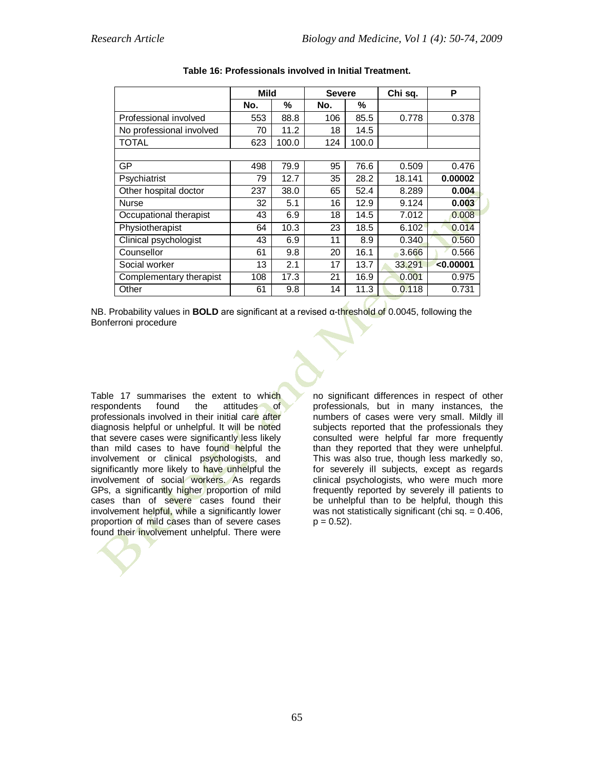|                          | Mild |       | <b>Severe</b> |       | Chi sq. | P         |
|--------------------------|------|-------|---------------|-------|---------|-----------|
|                          | No.  | %     | No.           | %     |         |           |
| Professional involved    | 553  | 88.8  | 106           | 85.5  | 0.778   | 0.378     |
| No professional involved | 70   | 11.2  | 18            | 14.5  |         |           |
| <b>TOTAL</b>             | 623  | 100.0 | 124           | 100.0 |         |           |
|                          |      |       |               |       |         |           |
| GP                       | 498  | 79.9  | 95            | 76.6  | 0.509   | 0.476     |
| Psychiatrist             | 79   | 12.7  | 35            | 28.2  | 18.141  | 0.00002   |
| Other hospital doctor    | 237  | 38.0  | 65            | 52.4  | 8.289   | 0.004     |
| <b>Nurse</b>             | 32   | 5.1   | 16            | 12.9  | 9.124   | 0.003     |
| Occupational therapist   | 43   | 6.9   | 18            | 14.5  | 7.012   | 0.008     |
| Physiotherapist          | 64   | 10.3  | 23            | 18.5  | 6.102   | 0.014     |
| Clinical psychologist    | 43   | 6.9   | 11            | 8.9   | 0.340   | 0.560     |
| Counsellor               | 61   | 9.8   | 20            | 16.1  | 3.666   | 0.566     |
| Social worker            | 13   | 2.1   | 17            | 13.7  | 33.291  | < 0.00001 |
| Complementary therapist  | 108  | 17.3  | 21            | 16.9  | 0.001   | 0.975     |
| Other                    | 61   | 9.8   | 14            | 11.3  | 0.118   | 0.731     |

NB. Probability values in **BOLD** are significant at a revised α-threshold of 0.0045, following the Bonferroni procedure

Table 17 summarises the extent to which<br>respondents found the attitudes of attitudes of professionals involved in their initial care after diagnosis helpful or unhelpful. It will be noted that severe cases were significantly less likely than mild cases to have found helpful the involvement or clinical psychologists, and significantly more likely to have unhelpful the involvement of social workers. As regards GPs, a significantly higher proportion of mild cases than of severe cases found their involvement helpful, while a significantly lower proportion of mild cases than of severe cases found their involvement unhelpful. There were

no significant differences in respect of other professionals, but in many instances, the numbers of cases were very small. Mildly ill subjects reported that the professionals they consulted were helpful far more frequently than they reported that they were unhelpful. This was also true, though less markedly so, for severely ill subjects, except as regards clinical psychologists, who were much more frequently reported by severely ill patients to be unhelpful than to be helpful, though this was not statistically significant (chi sq.  $= 0.406$ ,  $p = 0.52$ ).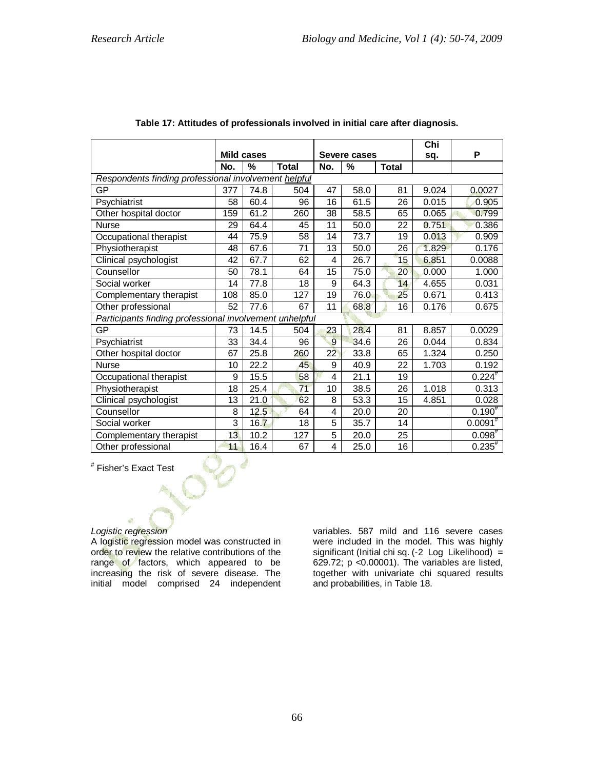|                                                         |                |                   |              |                         |              |              | Chi   |              |
|---------------------------------------------------------|----------------|-------------------|--------------|-------------------------|--------------|--------------|-------|--------------|
|                                                         |                | <b>Mild cases</b> |              |                         | Severe cases |              | sq.   | P            |
|                                                         | No.            | $\%$              | <b>Total</b> | No.                     | %            | <b>Total</b> |       |              |
| Respondents finding professional involvement helpful    |                |                   |              |                         |              |              |       |              |
| GР                                                      | 377            | 74.8              | 504          | 47                      | 58.0         | 81           | 9.024 | 0.0027       |
| Psychiatrist                                            | 58             | 60.4              | 96           | 16                      | 61.5         | 26           | 0.015 | 0.905        |
| Other hospital doctor                                   | 159            | 61.2              | 260          | 38                      | 58.5         | 65           | 0.065 | 0.799        |
| <b>Nurse</b>                                            | 29             | 64.4              | 45           | 11                      | 50.0         | 22           | 0.751 | 0.386        |
| Occupational therapist                                  | 44             | 75.9              | 58           | 14                      | 73.7         | 19           | 0.013 | 0.909        |
| Physiotherapist                                         | 48             | 67.6              | 71           | 13                      | 50.0         | 26           | 1.829 | 0.176        |
| Clinical psychologist                                   | 42             | 67.7              | 62           | $\overline{\mathbf{4}}$ | 26.7         | 15           | 6.851 | 0.0088       |
| Counsellor                                              | 50             | 78.1              | 64           | 15                      | 75.0         | 20           | 0.000 | 1.000        |
| Social worker                                           | 14             | 77.8              | 18           | 9                       | 64.3         | 14           | 4.655 | 0.031        |
| Complementary therapist                                 | 108            | 85.0              | 127          | 19                      | 76.0         | 25           | 0.671 | 0.413        |
| Other professional                                      | 52             | 77.6              | 67           | 11                      | 68.8         | 16           | 0.176 | 0.675        |
| Participants finding professional involvement unhelpful |                |                   |              |                         |              |              |       |              |
| GP                                                      | 73             | 14.5              | 504          | 23                      | 28.4         | 81           | 8.857 | 0.0029       |
| Psychiatrist                                            | 33             | 34.4              | 96           | 9                       | 34.6         | 26           | 0.044 | 0.834        |
| Other hospital doctor                                   | 67             | 25.8              | 260          | 22                      | 33.8         | 65           | 1.324 | 0.250        |
| <b>Nurse</b>                                            | 10             | 22.2              | 45           | 9                       | 40.9         | 22           | 1.703 | 0.192        |
| Occupational therapist                                  | 9              | 15.5              | 58           | $\overline{\mathbf{4}}$ | 21.1         | 19           |       | $0.224^{#}$  |
| Physiotherapist                                         | 18             | 25.4              | 71           | 10                      | 38.5         | 26           | 1.018 | 0.313        |
| Clinical psychologist                                   | 13             | 21.0              | 62           | 8                       | 53.3         | 15           | 4.851 | 0.028        |
| Counsellor                                              | 8              | 12.5              | 64           | 4                       | 20.0         | 20           |       | $0.190^{#}$  |
| Social worker                                           | $\overline{3}$ | 16.7              | 18           | 5                       | 35.7         | 14           |       | $0.0091^{#}$ |
| Complementary therapist                                 | 13             | 10.2              | 127          | 5                       | 20.0         | 25           |       | $0.098^{#}$  |
| Other professional                                      | 11             | 16.4              | 67           | 4                       | 25.0         | 16           |       | $0.235^{*}$  |

## **Table 17: Attitudes of professionals involved in initial care after diagnosis.**

# Fisher's Exact Test

#### *Logistic regression*

A logistic regression model was constructed in order to review the relative contributions of the range of factors, which appeared to be increasing the risk of severe disease. The initial model comprised 24 independent

variables. 587 mild and 116 severe cases were included in the model. This was highly significant (Initial chi sq. (-2 Log Likelihood) = 629.72; p <0.00001). The variables are listed, together with univariate chi squared results and probabilities, in Table 18.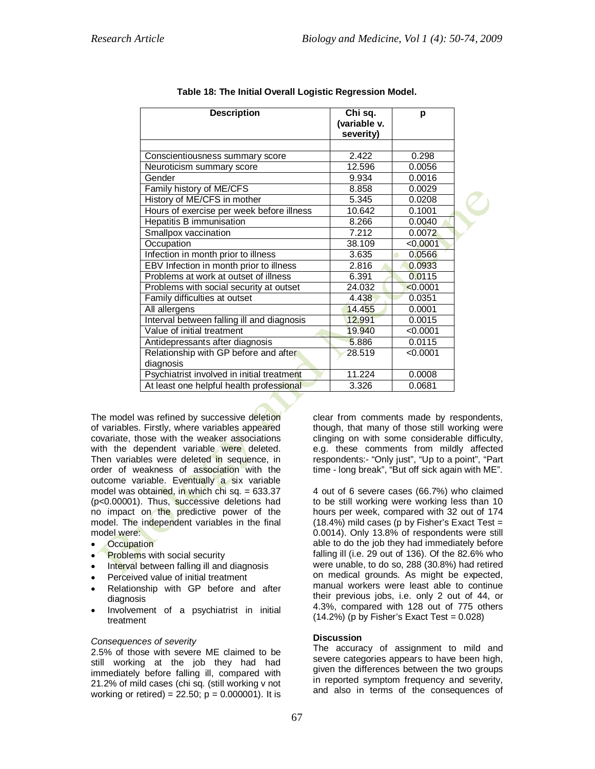| <b>Description</b>                         | Chi sq.<br>(variable v.<br>severity) | р        |  |
|--------------------------------------------|--------------------------------------|----------|--|
|                                            |                                      |          |  |
| Conscientiousness summary score            | 2.422                                | 0.298    |  |
| Neuroticism summary score                  | 12.596                               | 0.0056   |  |
| Gender                                     | 9.934                                | 0.0016   |  |
| Family history of ME/CFS                   | 8.858                                | 0.0029   |  |
| History of ME/CFS in mother                | 5.345                                | 0.0208   |  |
| Hours of exercise per week before illness  | 10.642                               | 0.1001   |  |
| <b>Hepatitis B immunisation</b>            | 8.266                                | 0.0040   |  |
| Smallpox vaccination                       | 7.212                                | 0.0072   |  |
| Occupation                                 | 38.109                               | < 0.0001 |  |
| Infection in month prior to illness        | 3.635                                | 0.0566   |  |
| EBV Infection in month prior to illness    | 2.816                                | 0.0933   |  |
| Problems at work at outset of illness      | 6.391                                | 0.0115   |  |
| Problems with social security at outset    | 24.032                               | < 0.0001 |  |
| Family difficulties at outset              | 4.438                                | 0.0351   |  |
| All allergens                              | 14.455                               | 0.0001   |  |
| Interval between falling ill and diagnosis | 12.991                               | 0.0015   |  |
| Value of initial treatment                 | 19.940                               | < 0.0001 |  |
| Antidepressants after diagnosis            | 5.886                                | 0.0115   |  |
| Relationship with GP before and after      | 28.519                               | < 0.0001 |  |
| diagnosis                                  |                                      |          |  |
| Psychiatrist involved in initial treatment | 11.224                               | 0.0008   |  |
| At least one helpful health professional   | 3.326                                | 0.0681   |  |

## **Table 18: The Initial Overall Logistic Regression Model.**

The model was refined by successive deletion of variables. Firstly, where variables appeared covariate, those with the weaker associations with the dependent variable were deleted. Then variables were deleted in sequence, in order of weakness of association with the outcome variable. Eventually a six variable model was obtained, in which chi sq. =  $633.37$ (p<0.00001). Thus, successive deletions had no impact on the predictive power of the model. The independent variables in the final model were:

- **Occupation**
- Problems with social security
- Interval between falling ill and diagnosis
- Perceived value of initial treatment
- Relationship with GP before and after diagnosis
- Involvement of a psychiatrist in initial treatment

#### *Consequences of severity*

2.5% of those with severe ME claimed to be still working at the job they had had immediately before falling ill, compared with 21.2% of mild cases (chi sq. (still working v not working or retired) =  $22.50$ ;  $p = 0.000001$ ). It is clear from comments made by respondents, though, that many of those still working were clinging on with some considerable difficulty, e.g. these comments from mildly affected respondents:- "Only just", "Up to a point", "Part time - long break", "But off sick again with ME".

4 out of 6 severe cases (66.7%) who claimed to be still working were working less than 10 hours per week, compared with 32 out of 174  $(18.4%)$  mild cases (p by Fisher's Exact Test = 0.0014). Only 13.8% of respondents were still able to do the job they had immediately before falling ill (i.e. 29 out of 136). Of the 82.6% who were unable, to do so, 288 (30.8%) had retired on medical grounds. As might be expected, manual workers were least able to continue their previous jobs, i.e. only 2 out of 44, or 4.3%, compared with 128 out of 775 others  $(14.2\%)$  (p by Fisher's Exact Test = 0.028)

### **Discussion**

The accuracy of assignment to mild and severe categories appears to have been high, given the differences between the two groups in reported symptom frequency and severity, and also in terms of the consequences of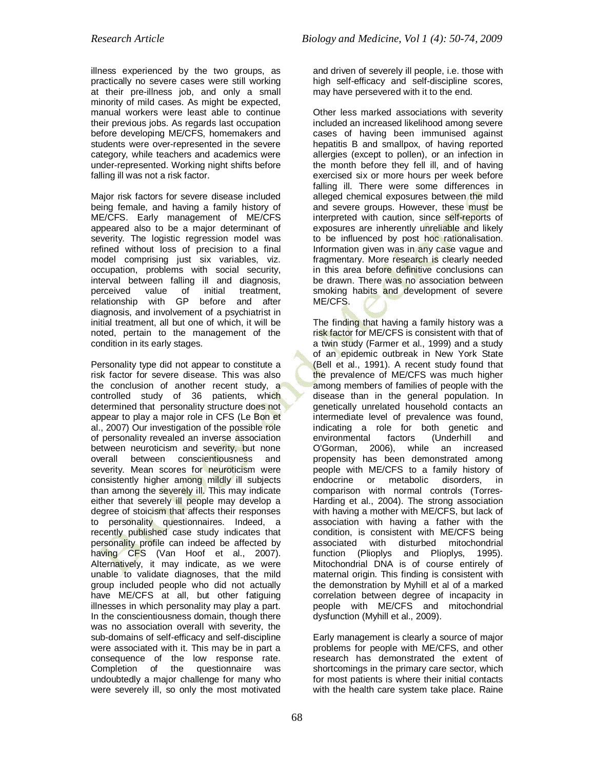illness experienced by the two groups, as practically no severe cases were still working at their pre-illness job, and only a small minority of mild cases. As might be expected, manual workers were least able to continue their previous jobs. As regards last occupation before developing ME/CFS, homemakers and students were over-represented in the severe category, while teachers and academics were under-represented. Working night shifts before falling ill was not a risk factor.

Major risk factors for severe disease included being female, and having a family history of ME/CFS. Early management of ME/CFS appeared also to be a major determinant of severity. The logistic regression model was refined without loss of precision to a final model comprising just six variables, viz. occupation, problems with social security, interval between falling ill and diagnosis, perceived value of initial treatment, relationship with GP before and after diagnosis, and involvement of a psychiatrist in initial treatment, all but one of which, it will be noted, pertain to the management of the condition in its early stages.

Personality type did not appear to constitute a risk factor for severe disease. This was also the conclusion of another recent study, a controlled study of 36 patients, which determined that personality structure does not appear to play a major role in CFS (Le Bon et al., 2007) Our investigation of the possible role of personality revealed an inverse association between neuroticism and severity, but none overall between conscientiousness and severity. Mean scores for neuroticism were consistently higher among mildly ill subjects than among the severely ill. This may indicate either that severely ill people may develop a degree of stoicism that affects their responses to personality questionnaires. Indeed, a recently published case study indicates that personality profile can indeed be affected by having CFS (Van Hoof et al., 2007). Alternatively, it may indicate, as we were unable to validate diagnoses, that the mild group included people who did not actually have ME/CFS at all, but other fatiguing illnesses in which personality may play a part. In the conscientiousness domain, though there was no association overall with severity, the sub-domains of self-efficacy and self-discipline were associated with it. This may be in part a consequence of the low response rate. Completion of the questionnaire was undoubtedly a major challenge for many who were severely ill, so only the most motivated

and driven of severely ill people, i.e. those with high self-efficacy and self-discipline scores, may have persevered with it to the end.

Other less marked associations with severity included an increased likelihood among severe cases of having been immunised against hepatitis B and smallpox, of having reported allergies (except to pollen), or an infection in the month before they fell ill, and of having exercised six or more hours per week before falling ill. There were some differences in alleged chemical exposures between the mild and severe groups. However, these must be interpreted with caution, since self-reports of exposures are inherently unreliable and likely to be influenced by post hoc rationalisation. Information given was in any case vague and fragmentary. More research is clearly needed in this area before definitive conclusions can be drawn. There was no association between smoking habits and development of severe ME/CFS.

The finding that having a family history was a risk factor for ME/CFS is consistent with that of a twin study (Farmer et al., 1999) and a study of an epidemic outbreak in New York State (Bell et al., 1991). A recent study found that the prevalence of ME/CFS was much higher among members of families of people with the disease than in the general population. In genetically unrelated household contacts an intermediate level of prevalence was found, indicating a role for both genetic and environmental factors (Underhill and O'Gorman, 2006), while an increased propensity has been demonstrated among people with ME/CFS to a family history of endocrine or metabolic disorders, in comparison with normal controls (Torres-Harding et al., 2004). The strong association with having a mother with ME/CFS, but lack of association with having a father with the condition, is consistent with ME/CFS being associated with disturbed mitochondrial function (Plioplys and Plioplys, 1995). Mitochondrial DNA is of course entirely of maternal origin. This finding is consistent with the demonstration by Myhill et al of a marked correlation between degree of incapacity in people with ME/CFS and mitochondrial dysfunction (Myhill et al., 2009).

Early management is clearly a source of major problems for people with ME/CFS, and other research has demonstrated the extent of shortcomings in the primary care sector, which for most patients is where their initial contacts with the health care system take place. Raine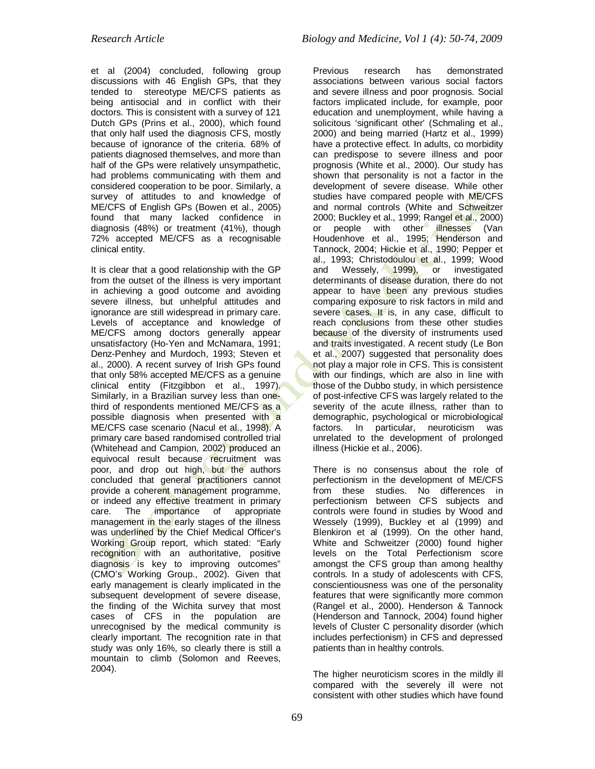et al (2004) concluded, following group discussions with 46 English GPs, that they tended to stereotype ME/CFS patients as being antisocial and in conflict with their doctors. This is consistent with a survey of 121 Dutch GPs (Prins et al., 2000), which found that only half used the diagnosis CFS, mostly because of ignorance of the criteria. 68% of patients diagnosed themselves, and more than half of the GPs were relatively unsympathetic, had problems communicating with them and considered cooperation to be poor. Similarly, a survey of attitudes to and knowledge of ME/CFS of English GPs (Bowen et al., 2005) found that many lacked confidence in diagnosis (48%) or treatment (41%), though 72% accepted ME/CFS as a recognisable clinical entity.

It is clear that a good relationship with the GP from the outset of the illness is very important in achieving a good outcome and avoiding severe illness, but unhelpful attitudes and ignorance are still widespread in primary care. Levels of acceptance and knowledge of ME/CFS among doctors generally appear unsatisfactory (Ho-Yen and McNamara, 1991; Denz-Penhey and Murdoch, 1993; Steven et al., 2000). A recent survey of Irish GPs found that only 58% accepted ME/CFS as a genuine clinical entity (Fitzgibbon et al., 1997). Similarly, in a Brazilian survey less than onethird of respondents mentioned ME/CFS as a possible diagnosis when presented with a ME/CFS case scenario (Nacul et al., 1998). A primary care based randomised controlled trial (Whitehead and Campion, 2002) produced an equivocal result because recruitment was poor, and drop out high, but the authors concluded that general practitioners cannot provide a coherent management programme, or indeed any effective treatment in primary care. The *importance* of appropriate management in the early stages of the illness was underlined by the Chief Medical Officer's Working Group report, which stated: "Early recognition with an authoritative, positive diagnosis is key to improving outcomes" (CMO's Working Group., 2002). Given that early management is clearly implicated in the subsequent development of severe disease, the finding of the Wichita survey that most cases of CFS in the population are unrecognised by the medical community is clearly important. The recognition rate in that study was only 16%, so clearly there is still a mountain to climb (Solomon and Reeves, 2004).

Previous research has demonstrated associations between various social factors and severe illness and poor prognosis. Social factors implicated include, for example, poor education and unemployment, while having a solicitous 'significant other' (Schmaling et al., 2000) and being married (Hartz et al., 1999) have a protective effect. In adults, co morbidity can predispose to severe illness and poor prognosis (White et al., 2000). Our study has shown that personality is not a factor in the development of severe disease. While other studies have compared people with ME/CFS and normal controls (White and Schweitzer 2000; Buckley et al., 1999; Rangel et al., 2000) or people with other illnesses (Van Houdenhove et al., 1995; Henderson and Tannock, 2004; Hickie et al., 1990; Pepper et al., 1993; Christodoulou et al., 1999; Wood and Wessely, 1999), or investigated determinants of disease duration, there do not appear to have been any previous studies comparing exposure to risk factors in mild and severe cases. It is, in any case, difficult to reach conclusions from these other studies because of the diversity of instruments used and traits investigated. A recent study (Le Bon et al., 2007) suggested that personality does not play a major role in CFS. This is consistent with our findings, which are also in line with those of the Dubbo study, in which persistence of post-infective CFS was largely related to the severity of the acute illness, rather than to demographic, psychological or microbiological factors. In particular, neuroticism was unrelated to the development of prolonged illness (Hickie et al., 2006).

There is no consensus about the role of perfectionism in the development of ME/CFS from these studies. No differences in perfectionism between CFS subjects and controls were found in studies by Wood and Wessely (1999), Buckley et al (1999) and Blenkiron et al (1999). On the other hand, White and Schweitzer (2000) found higher levels on the Total Perfectionism score amongst the CFS group than among healthy controls. In a study of adolescents with CFS, conscientiousness was one of the personality features that were significantly more common (Rangel et al., 2000). Henderson & Tannock (Henderson and Tannock, 2004) found higher levels of Cluster C personality disorder (which includes perfectionism) in CFS and depressed patients than in healthy controls.

The higher neuroticism scores in the mildly ill compared with the severely ill were not consistent with other studies which have found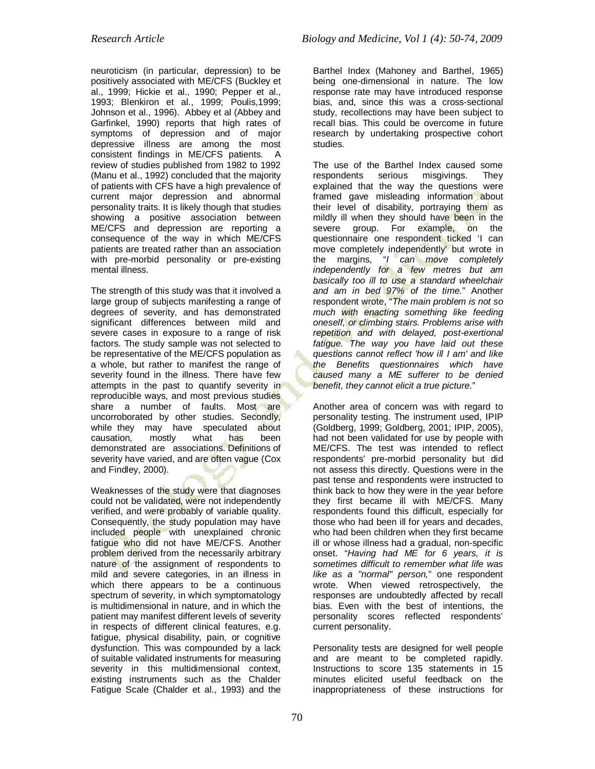neuroticism (in particular, depression) to be positively associated with ME/CFS (Buckley et al., 1999; Hickie et al., 1990; Pepper et al., 1993; Blenkiron et al., 1999; Poulis,1999; Johnson et al., 1996). Abbey et al (Abbey and Garfinkel, 1990) reports that high rates of symptoms of depression and of major depressive illness are among the most consistent findings in ME/CFS patients. A review of studies published from 1982 to 1992 (Manu et al., 1992) concluded that the majority of patients with CFS have a high prevalence of current major depression and abnormal personality traits. It is likely though that studies showing a positive association between ME/CFS and depression are reporting a consequence of the way in which ME/CFS patients are treated rather than an association with pre-morbid personality or pre-existing mental illness.

The strength of this study was that it involved a large group of subjects manifesting a range of degrees of severity, and has demonstrated significant differences between mild and severe cases in exposure to a range of risk factors. The study sample was not selected to be representative of the ME/CFS population as a whole, but rather to manifest the range of severity found in the illness. There have few attempts in the past to quantify severity in reproducible ways, and most previous studies share a number of faults. Most are uncorroborated by other studies. Secondly, while they may have speculated about causation, mostly what has been demonstrated are associations. Definitions of severity have varied, and are often vague (Cox and Findley, 2000).

Weaknesses of the study were that diagnoses could not be validated, were not independently verified, and were probably of variable quality. Consequently, the study population may have included people with unexplained chronic fatigue who did not have ME/CFS. Another problem derived from the necessarily arbitrary nature of the assignment of respondents to mild and severe categories, in an illness in which there appears to be a continuous spectrum of severity, in which symptomatology is multidimensional in nature, and in which the patient may manifest different levels of severity in respects of different clinical features, e.g. fatigue, physical disability, pain, or cognitive dysfunction. This was compounded by a lack of suitable validated instruments for measuring severity in this multidimensional context, existing instruments such as the Chalder Fatigue Scale (Chalder et al., 1993) and the Barthel Index (Mahoney and Barthel, 1965) being one-dimensional in nature. The low response rate may have introduced response bias, and, since this was a cross-sectional study, recollections may have been subject to recall bias. This could be overcome in future research by undertaking prospective cohort studies.

The use of the Barthel Index caused some<br>respondents serious misgivings. They respondents serious misgivings. They explained that the way the questions were framed gave misleading information about their level of disability, portraying them as mildly ill when they should have been in the severe group. For example, on the questionnaire one respondent ticked 'I can move completely independently' but wrote in the margins, "*I can move completely independently for a few metres but am basically too ill to use a standard wheelchair and am in bed 97% of the time.*" Another respondent wrote, "*The main problem is not so much with enacting something like feeding oneself, or climbing stairs. Problems arise with repetition and with delayed, post-exertional fatigue. The way you have laid out these questions cannot reflect 'how ill I am' and like the Benefits questionnaires which have caused many a ME sufferer to be denied benefit, they cannot elicit a true picture*."

Another area of concern was with regard to personality testing. The instrument used, IPIP (Goldberg, 1999; Goldberg, 2001; IPIP, 2005), had not been validated for use by people with ME/CFS. The test was intended to reflect respondents' pre-morbid personality but did not assess this directly. Questions were in the past tense and respondents were instructed to think back to how they were in the year before they first became ill with ME/CFS. Many respondents found this difficult, especially for those who had been ill for years and decades, who had been children when they first became ill or whose illness had a gradual, non-specific onset. "*Having had ME for 6 years, it is sometimes difficult to remember what life was like as a "normal" person,*" one respondent wrote. When viewed retrospectively, the responses are undoubtedly affected by recall bias. Even with the best of intentions, the personality scores reflected respondents' current personality.

Personality tests are designed for well people and are meant to be completed rapidly. Instructions to score 135 statements in 15 minutes elicited useful feedback on the inappropriateness of these instructions for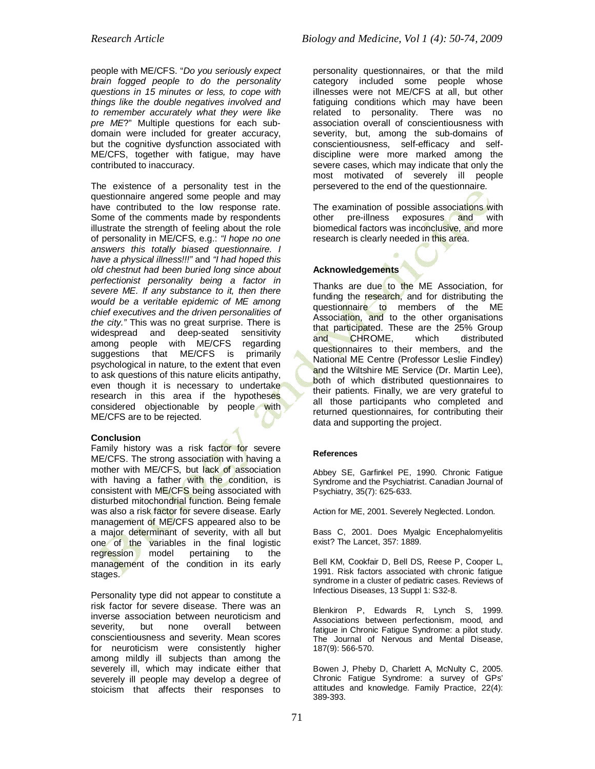people with ME/CFS. "*Do you seriously expect brain fogged people to do the personality questions in 15 minutes or less, to cope with things like the double negatives involved and to remember accurately what they were like pre ME*?" Multiple questions for each subdomain were included for greater accuracy, but the cognitive dysfunction associated with ME/CFS, together with fatigue, may have contributed to inaccuracy.

The existence of a personality test in the questionnaire angered some people and may have contributed to the low response rate. Some of the comments made by respondents illustrate the strength of feeling about the role of personality in ME/CFS, e.g.: *"I hope no one answers this totally biased questionnaire. I have a physical illness!!!"* and *"I had hoped this old chestnut had been buried long since about perfectionist personality being a factor in severe ME. If any substance to it, then there would be a veritable epidemic of ME among chief executives and the driven personalities of the city."* This was no great surprise. There is widespread and deep-seated sensitivity among people with ME/CFS regarding suggestions that ME/CFS is primarily psychological in nature, to the extent that even to ask questions of this nature elicits antipathy, even though it is necessary to undertake research in this area if the hypotheses considered objectionable by people with ME/CFS are to be rejected.

### **Conclusion**

Family history was a risk factor for severe ME/CFS. The strong association with having a mother with ME/CFS, but lack of association with having a father with the condition, is consistent with ME/CFS being associated with disturbed mitochondrial function. Being female was also a risk factor for severe disease. Early management of ME/CFS appeared also to be a major determinant of severity, with all but one of the variables in the final logistic regression model pertaining to the management of the condition in its early stages.

Personality type did not appear to constitute a risk factor for severe disease. There was an inverse association between neuroticism and severity, but none overall between conscientiousness and severity. Mean scores for neuroticism were consistently higher among mildly ill subjects than among the severely ill, which may indicate either that severely ill people may develop a degree of stoicism that affects their responses to

personality questionnaires, or that the mild category included some people whose illnesses were not ME/CFS at all, but other fatiguing conditions which may have been related to personality. There was no association overall of conscientiousness with severity, but, among the sub-domains of conscientiousness, self-efficacy and selfdiscipline were more marked among the severe cases, which may indicate that only the most motivated of severely ill people persevered to the end of the questionnaire.

The examination of possible associations with other pre-illness exposures and with biomedical factors was inconclusive, and more research is clearly needed in this area.

## **Acknowledgements**

Thanks are due to the ME Association, for funding the research, and for distributing the questionnaire to members of the ME Association, and to the other organisations that participated. These are the 25% Group and CHROME, which distributed questionnaires to their members, and the National ME Centre (Professor Leslie Findley) and the Wiltshire ME Service (Dr. Martin Lee), both of which distributed questionnaires to their patients. Finally, we are very grateful to all those participants who completed and returned questionnaires, for contributing their data and supporting the project.

#### **References**

Abbey SE, Garfinkel PE, 1990. Chronic Fatigue Syndrome and the Psychiatrist. Canadian Journal of Psychiatry, 35(7): 625-633.

Action for ME, 2001. Severely Neglected. London.

Bass C, 2001. Does Myalgic Encephalomyelitis exist? The Lancet, 357: 1889.

Bell KM, Cookfair D, Bell DS, Reese P, Cooper L, 1991. Risk factors associated with chronic fatigue syndrome in a cluster of pediatric cases. Reviews of Infectious Diseases, 13 Suppl 1: S32-8.

Blenkiron P, Edwards R, Lynch S, 1999. Associations between perfectionism, mood, and fatigue in Chronic Fatigue Syndrome: a pilot study. The Journal of Nervous and Mental Disease, 187(9): 566-570.

Bowen J, Pheby D, Charlett A, McNulty C, 2005. Chronic Fatigue Syndrome: a survey of GPs' attitudes and knowledge. Family Practice, 22(4): 389-393.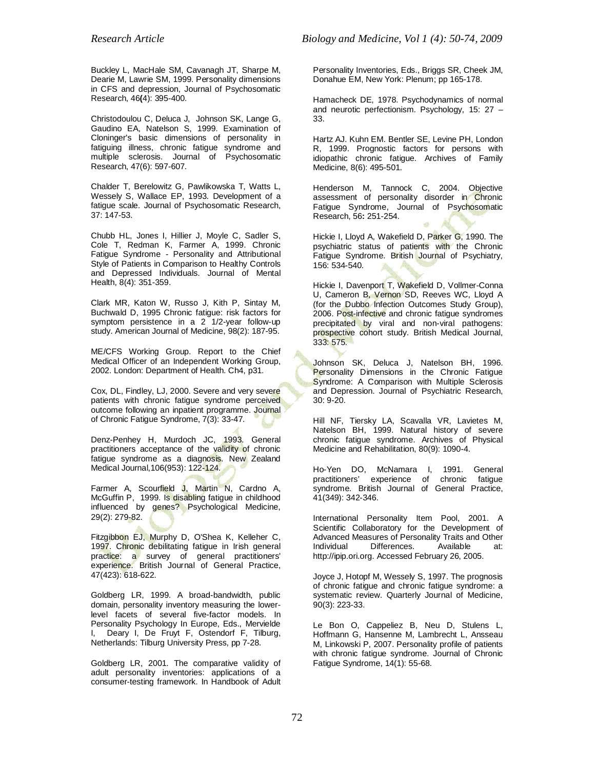Buckley L, MacHale SM, Cavanagh JT, Sharpe M, Dearie M, Lawrie SM, 1999. Personality dimensions in CFS and depression, Journal of Psychosomatic Research, 46**(**4): 395-400.

Christodoulou C, Deluca J, Johnson SK, Lange G, Gaudino EA, Natelson S, 1999. Examination of Cloninger's basic dimensions of personality in fatiguing illness, chronic fatigue syndrome and multiple sclerosis. Journal of Psychosomatic Research, 47(6): 597-607.

Chalder T, Berelowitz G, Pawlikowska T, Watts L, Wessely S, Wallace EP, 1993. Development of a fatigue scale. Journal of Psychosomatic Research, 37: 147-53.

Chubb HL, Jones I, Hillier J, Moyle C, Sadler S, Cole T, Redman K, Farmer A, 1999. Chronic Fatigue Syndrome - Personality and Attributional Style of Patients in Comparison to Healthy Controls and Depressed Individuals. Journal of Mental Health, 8(4): 351-359.

Clark MR, Katon W, Russo J, Kith P, Sintay M, Buchwald D, 1995 Chronic fatigue: risk factors for symptom persistence in a 2<sup>-1</sup>/2-year follow-up study. American Journal of Medicine, 98(2): 187-95.

ME/CFS Working Group. Report to the Chief Medical Officer of an Independent Working Group, 2002. London: Department of Health. Ch4, p31.

Cox, DL, Findley, LJ, 2000. Severe and very severe patients with chronic fatigue syndrome perceived outcome following an inpatient programme. Journal of Chronic Fatigue Syndrome, 7(3): 33-47.

Denz-Penhey H, Murdoch JC, 1993. General practitioners acceptance of the validity of chronic fatigue syndrome as a diagnosis. New Zealand Medical Journal,106(953): 122-124.

Farmer A, Scourfield J, Martin N, Cardno A, McGuffin P, 1999. Is disabling fatigue in childhood influenced by genes? Psychological Medicine, 29(2): 279-82.

Fitzgibbon EJ, Murphy D, O'Shea K, Kelleher C, 1997. Chronic debilitating fatigue in Irish general practice: a survey of general practitioners' experience. British Journal of General Practice, 47(423): 618-622.

Goldberg LR, 1999. A broad-bandwidth, public domain, personality inventory measuring the lowerlevel facets of several five-factor models. In Personality Psychology In Europe, Eds., Mervielde I, Deary I, De Fruyt F, Ostendorf F, Tilburg, Netherlands: Tilburg University Press, pp 7-28.

Goldberg LR, 2001. The comparative validity of adult personality inventories: applications of a consumer-testing framework. In Handbook of Adult Personality Inventories, Eds., Briggs SR, Cheek JM, Donahue EM, New York: Plenum; pp 165-178.

Hamacheck DE, 1978. Psychodynamics of normal and neurotic perfectionism. Psychology, 15: 27 – 33.

Hartz AJ. Kuhn EM. Bentler SE, Levine PH, London R, 1999. Prognostic factors for persons with idiopathic chronic fatigue. Archives of Family Medicine, 8(6): 495-501.

Henderson M, Tannock C, 2004. Objective assessment of personality disorder in Chronic Fatigue Syndrome, Journal of Psychosomatic Research, 56**:** 251-254.

Hickie I, Lloyd A, Wakefield D, Parker G, 1990. The psychiatric status of patients with the Chronic Fatigue Syndrome. British Journal of Psychiatry, 156: 534-540.

Hickie I, Davenport T, Wakefield D, Vollmer-Conna U, Cameron B, Vernon SD, Reeves WC, Lloyd A (for the Dubbo Infection Outcomes Study Group), 2006. Post-infective and chronic fatigue syndromes precipitated by viral and non-viral pathogens: prospective cohort study. British Medical Journal, 333: 575.

Johnson SK, Deluca J, Natelson BH, 1996. Personality Dimensions in the Chronic Fatigue Syndrome: A Comparison with Multiple Sclerosis and Depression. Journal of Psychiatric Research, 30: 9-20.

Hill NF, Tiersky LA, Scavalla VR, Lavietes M, Natelson BH, 1999. Natural history of severe chronic fatigue syndrome. Archives of Physical Medicine and Rehabilitation, 80(9): 1090-4.

Ho-Yen DO, McNamara I, 1991. General<br>practitioners' experience of chronic fatigue experience of syndrome. British Journal of General Practice, 41(349): 342-346.

International Personality Item Pool, 2001. A Scientific Collaboratory for the Development of Advanced Measures of Personality Traits and Other Differences. Available at: http://ipip.ori.org. Accessed February 26, 2005.

Joyce J, Hotopf M, Wessely S, 1997. The prognosis of chronic fatigue and chronic fatigue syndrome: a systematic review. Quarterly Journal of Medicine, 90(3): 223-33.

Le Bon O, Cappeliez B, Neu D, Stulens L, Hoffmann G, Hansenne M, Lambrecht L, Ansseau M, Linkowski P, 2007. Personality profile of patients with chronic fatigue syndrome. Journal of Chronic Fatigue Syndrome, 14(1): 55-68.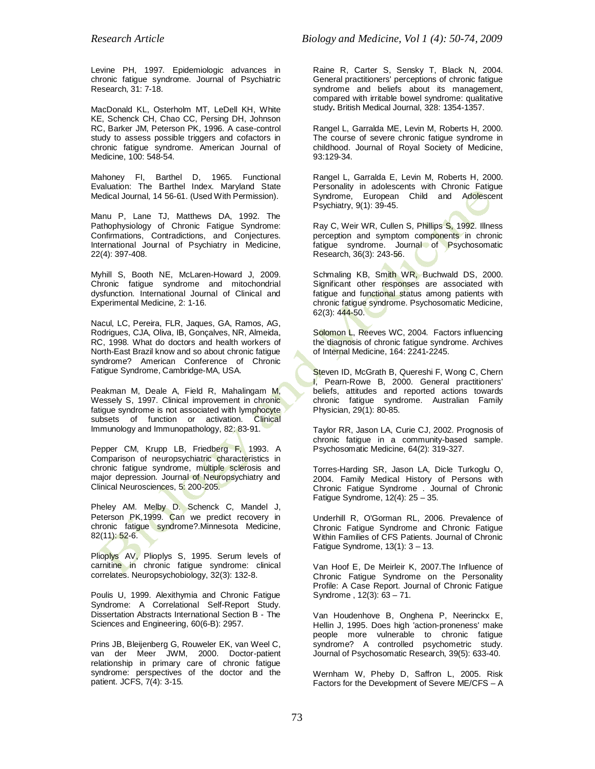Levine PH, 1997. Epidemiologic advances in chronic fatigue syndrome. Journal of Psychiatric Research, 31: 7-18.

MacDonald KL, Osterholm MT, LeDell KH, White KE, Schenck CH, Chao CC, Persing DH, Johnson RC, Barker JM, Peterson PK, 1996. A case-control study to assess possible triggers and cofactors in chronic fatigue syndrome. American Journal of Medicine, 100: 548-54.

Mahoney FI, Barthel D, 1965. Functional Evaluation: The Barthel Index. Maryland State Medical Journal, 14 56-61. (Used With Permission).

Manu P, Lane TJ, Matthews DA, 1992. The Pathophysiology of Chronic Fatigue Syndrome: Confirmations, Contradictions, and Conjectures. International Journal of Psychiatry in Medicine, 22(4): 397-408.

Myhill S, Booth NE, McLaren-Howard J, 2009. Chronic fatigue syndrome and mitochondrial dysfunction. International Journal of Clinical and Experimental Medicine, 2: 1-16.

Nacul, LC, Pereira, FLR, Jaques, GA, Ramos, AG, Rodrigues, CJA, Oliva, IB, Gonçalves, NR, Almeida, RC, 1998. What do doctors and health workers of North-East Brazil know and so about chronic fatigue syndrome? American Conference of Chronic Fatigue Syndrome, Cambridge-MA, USA.

Peakman M, Deale A, Field R, Mahalingam M, Wessely S, 1997. Clinical improvement in chronic fatigue syndrome is not associated with lymphocyte subsets of function or activation. Clinical Immunology and Immunopathology, 82: 83-91.

Pepper CM, Krupp LB, Friedberg F, 1993. A Comparison of neuropsychiatric characteristics in chronic fatigue syndrome, multiple sclerosis and major depression. Journal of Neuropsychiatry and Clinical Neurosciences, 5: 200-205.

Pheley AM. Melby D. Schenck C, Mandel J, Peterson PK, 1999. Can we predict recovery in chronic fatigue syndrome?.Minnesota Medicine, 82(11): 52-6.

Plioplys AV, Plioplys S, 1995. Serum levels of carnitine in chronic fatigue syndrome: clinical correlates. Neuropsychobiology, 32(3): 132-8.

Poulis U, 1999. Alexithymia and Chronic Fatigue Syndrome: A Correlational Self-Report Study. Dissertation Abstracts International Section B - The Sciences and Engineering, 60(6-B): 2957.

Prins JB, Bleijenberg G, Rouweler EK, van Weel C, van der Meer JWM, 2000. Doctor-patient relationship in primary care of chronic fatigue syndrome: perspectives of the doctor and the patient. JCFS, 7(4): 3-15.

Raine R, Carter S, Sensky T, Black N, 2004. General practitioners' perceptions of chronic fatigue syndrome and beliefs about its management, compared with irritable bowel syndrome: qualitative study**.** British Medical Journal, 328: 1354-1357.

Rangel L, Garralda ME, Levin M, Roberts H, 2000. The course of severe chronic fatigue syndrome in childhood. Journal of Royal Society of Medicine, 93:129-34.

Rangel L, Garralda E, Levin M, Roberts H, 2000. Personality in adolescents with Chronic Fatigue Syndrome, European Child and Adolescent Psychiatry, 9(1): 39-45.

Ray C, Weir WR, Cullen S, Phillips S, 1992. Illness perception and symptom components in chronic fatigue syndrome. Journal of Psychosomatic Research, 36(3): 243-56.

Schmaling KB, Smith WR, Buchwald DS, 2000. Significant other responses are associated with fatigue and functional status among patients with chronic fatigue syndrome. Psychosomatic Medicine, 62(3): 444-50.

Solomon L, Reeves WC, 2004. Factors influencing the diagnosis of chronic fatigue syndrome. Archives of Internal Medicine, 164: 2241-2245.

Steven ID, McGrath B, Quereshi F, Wong C, Chern I, Pearn-Rowe B, 2000. General practitioners' beliefs, attitudes and reported actions towards chronic fatigue syndrome. Australian Family Physician, 29(1): 80-85.

Taylor RR, Jason LA, Curie CJ, 2002. Prognosis of chronic fatigue in a community-based sample. Psychosomatic Medicine, 64(2): 319-327.

Torres-Harding SR, Jason LA, Dicle Turkoglu O, 2004. Family Medical History of Persons with Chronic Fatigue Syndrome . Journal of Chronic Fatigue Syndrome, 12(4): 25 – 35.

Underhill R, O'Gorman RL, 2006. Prevalence of Chronic Fatigue Syndrome and Chronic Fatigue Within Families of CFS Patients. Journal of Chronic Fatigue Syndrome,  $13(1)$ :  $3 - 13$ .

Van Hoof E, De Meirleir K, 2007.The Influence of Chronic Fatigue Syndrome on the Personality Profile: A Case Report. Journal of Chronic Fatigue Syndrome , 12(3): 63 – 71.

Van Houdenhove B, Onghena P, Neerinckx E, Hellin J, 1995. Does high 'action-proneness' make people more vulnerable to chronic fatigue syndrome? A controlled psychometric study. Journal of Psychosomatic Research, 39(5): 633-40.

Wernham W, Pheby D, Saffron L, 2005. Risk Factors for the Development of Severe ME/CFS – A